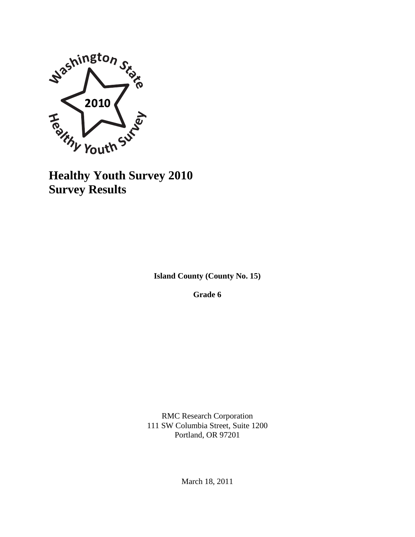

**Survey Results**

**Island County (County No. 15)**

**Grade 6**

RMC Research Corporation 111 SW Columbia Street, Suite 1200 Portland, OR 97201

March 18, 2011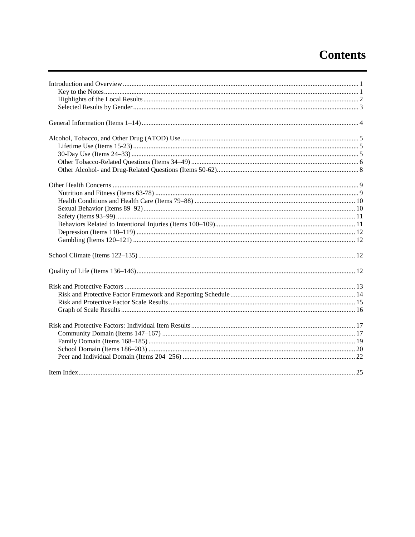# **Contents**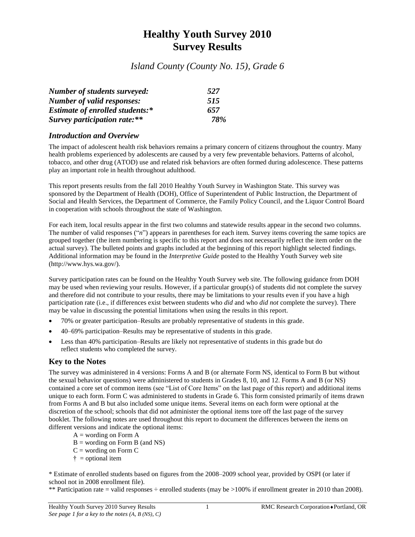# **Healthy Youth Survey 2010 Survey Results**

*Island County (County No. 15), Grade 6*

| <b>Number of students surveyed:</b>    | 527 |
|----------------------------------------|-----|
| <b>Number of valid responses:</b>      | 515 |
| <b>Estimate of enrolled students:*</b> | 657 |
| Survey participation rate:**           | 78% |

### *Introduction and Overview*

The impact of adolescent health risk behaviors remains a primary concern of citizens throughout the country. Many health problems experienced by adolescents are caused by a very few preventable behaviors. Patterns of alcohol, tobacco, and other drug (ATOD) use and related risk behaviors are often formed during adolescence. These patterns play an important role in health throughout adulthood.

This report presents results from the fall 2010 Healthy Youth Survey in Washington State. This survey was sponsored by the Department of Health (DOH), Office of Superintendent of Public Instruction, the Department of Social and Health Services, the Department of Commerce, the Family Policy Council, and the Liquor Control Board in cooperation with schools throughout the state of Washington.

For each item, local results appear in the first two columns and statewide results appear in the second two columns. The number of valid responses ("*n*") appears in parentheses for each item. Survey items covering the same topics are grouped together (the item numbering is specific to this report and does not necessarily reflect the item order on the actual survey). The bulleted points and graphs included at the beginning of this report highlight selected findings. Additional information may be found in the *Interpretive Guide* posted to the Healthy Youth Survey web site (http://www.hys.wa.gov/).

Survey participation rates can be found on the Healthy Youth Survey web site. The following guidance from DOH may be used when reviewing your results. However, if a particular group(s) of students did not complete the survey and therefore did not contribute to your results, there may be limitations to your results even if you have a high participation rate (i.e., if differences exist between students who *did* and who *did not* complete the survey). There may be value in discussing the potential limitations when using the results in this report.

- 70% or greater participation–Results are probably representative of students in this grade.
- 40–69% participation–Results may be representative of students in this grade.
- Less than 40% participation–Results are likely not representative of students in this grade but do reflect students who completed the survey.

### **Key to the Notes**

The survey was administered in 4 versions: Forms A and B (or alternate Form NS, identical to Form B but without the sexual behavior questions) were administered to students in Grades 8, 10, and 12. Forms A and B (or NS) contained a core set of common items (see "List of Core Items" on the last page of this report) and additional items unique to each form. Form C was administered to students in Grade 6. This form consisted primarily of items drawn from Forms A and B but also included some unique items. Several items on each form were optional at the discretion of the school; schools that did not administer the optional items tore off the last page of the survey booklet. The following notes are used throughout this report to document the differences between the items on different versions and indicate the optional items:

- $A =$  wording on Form A
- $B =$  wording on Form B (and NS)
- $C =$  wording on Form  $C$
- $\dagger$  = optional item

\* Estimate of enrolled students based on figures from the 2008–2009 school year, provided by OSPI (or later if school not in 2008 enrollment file).

\*\* Participation rate = valid responses  $\div$  enrolled students (may be  $>100\%$  if enrollment greater in 2010 than 2008).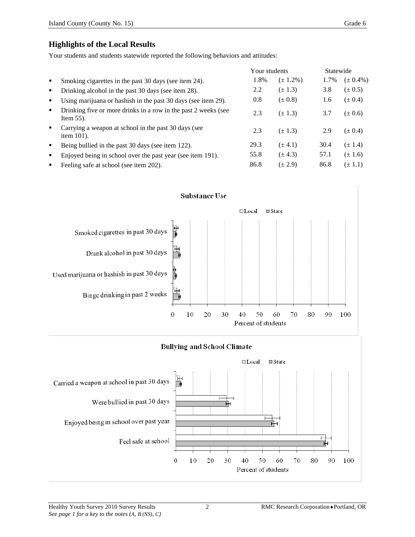### **Highlights of the Local Results**

Your students and students statewide reported the following behaviors and attitudes:

|                |                                                                                | Your students |               | Statewide |               |
|----------------|--------------------------------------------------------------------------------|---------------|---------------|-----------|---------------|
| $\blacksquare$ | Smoking cigarettes in the past 30 days (see item 24).                          | 1.8%          | $(\pm 1.2\%)$ | 1.7%      | $(\pm 0.4\%)$ |
| ٠              | Drinking alcohol in the past 30 days (see item 28).                            | 2.2           | $(\pm 1.3)$   | 3.8       | $(\pm 0.5)$   |
| ٠              | Using marijuana or hashish in the past 30 days (see item 29).                  | 0.8           | $(\pm 0.8)$   | 1.6       | $(\pm 0.4)$   |
| $\blacksquare$ | Drinking five or more drinks in a row in the past 2 weeks (see<br>Item $55$ ). | 2.3           | $(\pm 1.3)$   | 3.7       | $(\pm 0.6)$   |
| $\blacksquare$ | Carrying a weapon at school in the past 30 days (see<br>item $101$ ).          | 2.3           | $(\pm 1.3)$   | 2.9       | $(\pm 0.4)$   |
| ٠              | Being bullied in the past 30 days (see item 122).                              | 29.3          | $(\pm 4.1)$   | 30.4      | $(\pm 1.4)$   |
| ٠              | Enjoyed being in school over the past year (see item 191).                     | 55.8          | $(\pm 4.3)$   | 57.1      | $(\pm 1.6)$   |
| ٠              | Feeling safe at school (see item 202).                                         | 86.8          | $(\pm 2.9)$   | 86.8      | $(\pm 1.1)$   |





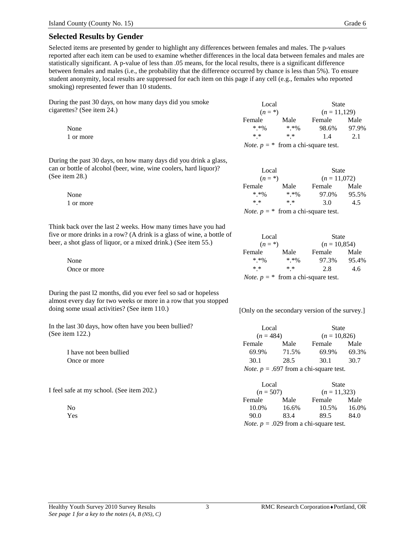Selected items are presented by gender to highlight any differences between females and males. The p-values reported after each item can be used to examine whether differences in the local data between females and males are statistically significant. A p-value of less than .05 means, for the local results, there is a significant difference between females and males (i.e., the probability that the difference occurred by chance is less than 5%). To ensure student anonymity, local results are suppressed for each item on this page if any cell (e.g., females who reported smoking) represented fewer than 10 students.

During the past 30 days, on how many days did you smoke cigarettes? (See item 24.)

During the past 30 days, on how many days did you drink a glass, can or bottle of alcohol (beer, wine, wine coolers, hard liquor)? (See item 28.)

Think back over the last 2 weeks. How many times have you had five or more drinks in a row? (A drink is a glass of wine, a bottle of beer, a shot glass of liquor, or a mixed drink.) (See item 55.)

During the past l2 months, did you ever feel so sad or hopeless almost every day for two weeks or more in a row that you stopped doing some usual activities? (See item 110.) [Only on the secondary version of the survey.]

In the last 30 days, how often have you been bullied? (See item 122.)

> I have not been bullied Once or more

I feel safe at my school. (See item 202.)

| the past 30 days, on how many days did you smoke | Local      | State      |                                              |       |
|--------------------------------------------------|------------|------------|----------------------------------------------|-------|
| tes? (See item 24.)                              | $(n = * )$ |            | $(n=11,129)$                                 |       |
|                                                  | Female     | Male       | Female                                       | Male  |
| None                                             | $* * 00$   | $* * 00$   | 98.6%                                        | 97.9% |
| 1 or more                                        | $* *$      | $\ast\ast$ | 14                                           | 2.1   |
|                                                  |            |            | <i>Note.</i> $p = *$ from a chi-square test. |       |

| bottle of alcohol (beer, wine, wine coolers, hard liquor)? | Local      |          | State          |       |  |
|------------------------------------------------------------|------------|----------|----------------|-------|--|
| em 28.)                                                    | $(n = * )$ |          | $(n = 11.072)$ |       |  |
|                                                            | Female     | Male     | Female         | Male  |  |
| None                                                       | $* * 96$   | $* * 00$ | 97.0%          | 95.5% |  |
| 1 or more                                                  | * *        | $* *$    | 3.0            | 4.5   |  |

*Note.*  $p = *$  from a chi-square test.

| more drinks in a row? (A drink is a glass of wine, a bottle of | Local        |               | State                                        |       |  |
|----------------------------------------------------------------|--------------|---------------|----------------------------------------------|-------|--|
| shot glass of liquor, or a mixed drink.) (See item 55.)        | $(n = * )$   |               | $(n = 10,854)$                               |       |  |
|                                                                | Female       | Male          | Female                                       | Male  |  |
| None                                                           | $* * 9'_{0}$ | $* * 96$      | 97.3%                                        | 95.4% |  |
| Once or more                                                   | $* *$        | $\ast$ $\ast$ | 2.8                                          | 4.6   |  |
|                                                                |              |               | <i>Note.</i> $p = *$ from a chi-square test. |       |  |

| Local                                           |       | State          |       |  |  |
|-------------------------------------------------|-------|----------------|-------|--|--|
| $(n = 484)$                                     |       | $(n = 10,826)$ |       |  |  |
| Female                                          | Male  | Female         | Male  |  |  |
| 69.9%                                           | 71.5% | 69.9%          | 69.3% |  |  |
| 30.1                                            | 28.5  | 30.1           | 30.7  |  |  |
| <i>Note.</i> $p = .697$ from a chi-square test. |       |                |       |  |  |

| afe at my school. (See item 202.) | Local<br>$(n = 507)$ |       | State<br>$(n=11,323)$                           |       |
|-----------------------------------|----------------------|-------|-------------------------------------------------|-------|
|                                   |                      |       |                                                 |       |
| No                                | 10.0%                | 16.6% | 10.5%                                           | 16.0% |
| Yes                               | 90.0                 | 83.4  | 89.5                                            | 84.0  |
|                                   |                      |       | <i>Note.</i> $p = .029$ from a chi-square test. |       |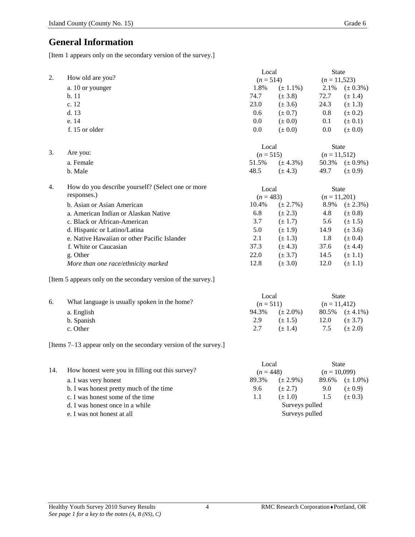# **General Information**

[Item 1 appears only on the secondary version of the survey.]

|    |                                                               | Local       |               | <b>State</b>    |                     |
|----|---------------------------------------------------------------|-------------|---------------|-----------------|---------------------|
| 2. | How old are you?                                              | $(n = 514)$ |               | $(n = 11,523)$  |                     |
|    | a. 10 or younger                                              | 1.8%        | $(\pm 1.1\%)$ | 2.1%            | $(\pm 0.3\%)$       |
|    | b.11                                                          | 74.7        | $(\pm 3.8)$   | 72.7            | $(\pm 1.4)$         |
|    | c. 12                                                         | 23.0        | $(\pm 3.6)$   | 24.3            | $(\pm 1.3)$         |
|    | d.13                                                          | 0.6         | $(\pm 0.7)$   | 0.8             | $(\pm 0.2)$         |
|    | e. 14                                                         | 0.0         | $(\pm 0.0)$   | 0.1             | $(\pm 0.1)$         |
|    | f. 15 or older                                                | 0.0         | $(\pm 0.0)$   | 0.0             | $(\pm 0.0)$         |
|    |                                                               | Local       |               | <b>State</b>    |                     |
| 3. | Are you:                                                      | $(n = 515)$ |               | $(n = 11, 512)$ |                     |
|    | a. Female                                                     | 51.5%       | $(\pm 4.3\%)$ |                 | 50.3% $(\pm 0.9\%)$ |
|    | b. Male                                                       | 48.5        | $(\pm 4.3)$   | 49.7            | $(\pm 0.9)$         |
| 4. | How do you describe yourself? (Select one or more             | Local       |               | <b>State</b>    |                     |
|    | responses.)                                                   | $(n = 483)$ |               | $(n = 11,201)$  |                     |
|    | b. Asian or Asian American                                    | 10.4%       | $(\pm 2.7\%)$ | 8.9%            | $(\pm 2.3\%)$       |
|    | a. American Indian or Alaskan Native                          | 6.8         | $(\pm 2.3)$   | 4.8             | $(\pm 0.8)$         |
|    | c. Black or African-American                                  | 3.7         | $(\pm 1.7)$   | 5.6             | $(\pm 1.5)$         |
|    | d. Hispanic or Latino/Latina                                  | 5.0         | $(\pm 1.9)$   | 14.9            | $(\pm 3.6)$         |
|    | e. Native Hawaiian or other Pacific Islander                  | 2.1         | $(\pm 1.3)$   | 1.8             | $(\pm 0.4)$         |
|    | f. White or Caucasian                                         | 37.3        | $(\pm 4.3)$   | 37.6            | $(\pm 4.4)$         |
|    | g. Other                                                      | 22.0        | $(\pm 3.7)$   | 14.5            | $(\pm 1.1)$         |
|    | More than one race/ethnicity marked                           | 12.8        | $(\pm 3.0)$   | 12.0            | $(\pm 1.1)$         |
|    | [Item 5 appears only on the secondary version of the survey.] |             |               |                 |                     |
|    |                                                               | Local       |               | <b>State</b>    |                     |

|    |                                              | Local<br>$(n=511)$ |               | State<br>$(n=11,412)$ |                        |
|----|----------------------------------------------|--------------------|---------------|-----------------------|------------------------|
| б. | What language is usually spoken in the home? |                    |               |                       |                        |
|    | a. English                                   | 94.3%              | $(\pm 2.0\%)$ |                       | $80.5\%$ $(\pm 4.1\%)$ |
|    | b. Spanish                                   | 2.9                | $(\pm 1.5)$   | 12.0                  | $(\pm 3.7)$            |
|    | c. Other                                     | 2.7                | $(+ 1.4)$     | 7.5                   | $(\pm 2.0)$            |
|    |                                              |                    |               |                       |                        |

[Items 7–13 appear only on the secondary version of the survey.]

|                                                                             |                                                 | Local          |               | <b>State</b> |                        |  |
|-----------------------------------------------------------------------------|-------------------------------------------------|----------------|---------------|--------------|------------------------|--|
| 14.                                                                         | How honest were you in filling out this survey? |                | $(n = 448)$   |              | $(n = 10,099)$         |  |
|                                                                             | a. I was very honest                            | 89.3%          | $(\pm 2.9\%)$ |              | $89.6\%$ $(\pm 1.0\%)$ |  |
| b. I was honest pretty much of the time<br>c. I was honest some of the time | 9.6                                             | $(\pm 2.7)$    | 9.0           | $(\pm 0.9)$  |                        |  |
|                                                                             |                                                 | 1.1            | $(\pm 1.0)$   | 1.5          | $(\pm 0.3)$            |  |
|                                                                             | d. I was honest once in a while                 | Surveys pulled |               |              |                        |  |
|                                                                             | Surveys pulled<br>e. I was not honest at all    |                |               |              |                        |  |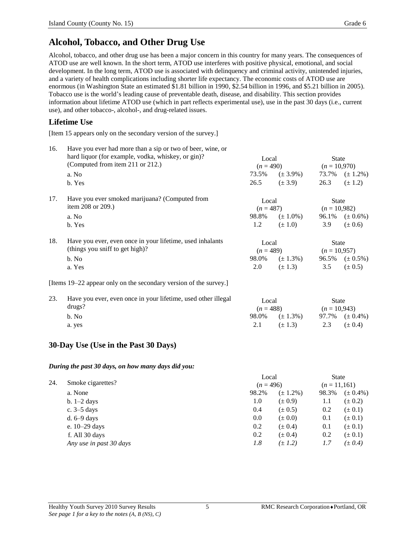# **Alcohol, Tobacco, and Other Drug Use**

Alcohol, tobacco, and other drug use has been a major concern in this country for many years. The consequences of ATOD use are well known. In the short term, ATOD use interferes with positive physical, emotional, and social development. In the long term, ATOD use is associated with delinquency and criminal activity, unintended injuries, and a variety of health complications including shorter life expectancy. The economic costs of ATOD use are enormous (in Washington State an estimated \$1.81 billion in 1990, \$2.54 billion in 1996, and \$5.21 billion in 2005). Tobacco use is the world's leading cause of preventable death, disease, and disability. This section provides information about lifetime ATOD use (which in part reflects experimental use), use in the past 30 days (i.e., current use), and other tobacco-, alcohol-, and drug-related issues.

### **Lifetime Use**

[Item 15 appears only on the secondary version of the survey.]

| 16. | Have you ever had more than a sip or two of beer, wine, or        |             |                                           |                |                        |  |
|-----|-------------------------------------------------------------------|-------------|-------------------------------------------|----------------|------------------------|--|
|     | hard liquor (for example, vodka, whiskey, or gin)?                | Local       |                                           | <b>State</b>   |                        |  |
|     | (Computed from item 211 or 212.)                                  |             | $(n = 490)$                               | $(n = 10,970)$ |                        |  |
|     | a. No                                                             |             | $73.5\%$ $(\pm 3.9\%)$                    |                | $73.7\%$ $(\pm 1.2\%)$ |  |
|     | b. Yes                                                            |             | $26.5 \t\t(\pm 3.9)$                      | 26.3           | $(\pm 1.2)$            |  |
| 17. | Have you ever smoked marijuana? (Computed from                    | Local       |                                           | <b>State</b>   |                        |  |
|     | item $208$ or $209$ .)                                            | $(n = 487)$ |                                           | $(n = 10,982)$ |                        |  |
|     | a. No                                                             |             | 98.8% $(\pm 1.0\%)$ 96.1% $(\pm 0.6\%)$   |                |                        |  |
|     | b. Yes                                                            | 1.2         | $(\pm 1.0)$                               | 3.9            | $(\pm 0.6)$            |  |
| 18. | Have you ever, even once in your lifetime, used inhalants         | Local       |                                           | <b>State</b>   |                        |  |
|     | (things you sniff to get high)?                                   |             | $(n = 489)$                               | $(n = 10.957)$ |                        |  |
|     | b. No                                                             |             | 98.0\% $(\pm 1.3\%)$ 96.5\% $(\pm 0.5\%)$ |                |                        |  |
|     | a. Yes                                                            | 2.0         | $(\pm 1.3)$                               | 3.5            | $(\pm 0.5)$            |  |
|     | [Items 19–22 appear only on the secondary version of the survey.] |             |                                           |                |                        |  |
| 23. | Have you ever, even once in your lifetime, used other illegal     | Local       |                                           | <b>State</b>   |                        |  |

| . | There you ever, even once in your meaning, about other megan | Local<br>$(n=488)$ |                        | State<br>$(n = 10.943)$ |                     |
|---|--------------------------------------------------------------|--------------------|------------------------|-------------------------|---------------------|
|   | drugs?                                                       |                    |                        |                         |                     |
|   | b. No                                                        |                    | $98.0\%$ $(\pm 1.3\%)$ |                         | 97.7% $(\pm 0.4\%)$ |
|   | a. yes                                                       | 2.1                | $(\pm 1.3)$            |                         | 2.3 $(\pm 0.4)$     |
|   |                                                              |                    |                        |                         |                     |

### **30-Day Use (Use in the Past 30 Days)**

*During the past 30 days, on how many days did you:*

| Smoke cigarettes?       |       | Local<br>$(n = 496)$ |       |                              |
|-------------------------|-------|----------------------|-------|------------------------------|
|                         |       |                      |       |                              |
| a. None                 | 98.2% | $(\pm 1.2\%)$        | 98.3% | $(\pm 0.4\%)$                |
| b. $1-2$ days           | 1.0   | $(\pm 0.9)$          | 1.1   | $(\pm 0.2)$                  |
| c. $3-5$ days           | 0.4   | $(\pm 0.5)$          | 0.2   | $(\pm 0.1)$                  |
| d. $6-9$ days           | 0.0   | $(\pm 0.0)$          | 0.1   | $(\pm 0.1)$                  |
| e. $10-29$ days         | 0.2   | $(\pm 0.4)$          | 0.1   | $(\pm 0.1)$                  |
| f. All 30 days          | 0.2   | $(\pm 0.4)$          | 0.2   | $(\pm 0.1)$                  |
| Any use in past 30 days | 1.8   | $(\pm 1.2)$          | 1.7   | $(\pm 0.4)$                  |
|                         |       |                      |       | <b>State</b><br>$(n=11,161)$ |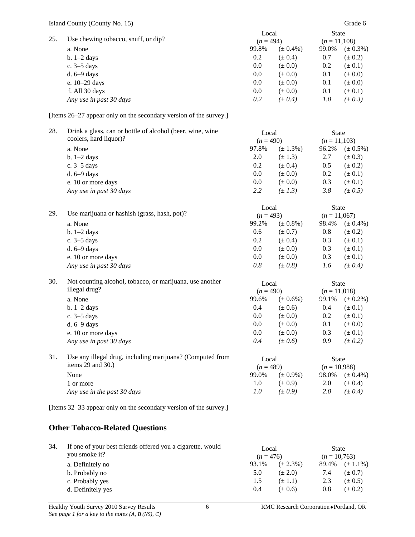| 25. | Use chewing tobacco, snuff, or dip?                               | Local       |               | State          |               |
|-----|-------------------------------------------------------------------|-------------|---------------|----------------|---------------|
|     |                                                                   | $(n = 494)$ |               | $(n = 11,108)$ |               |
|     | a. None                                                           | 99.8%       | $(\pm 0.4\%)$ | 99.0%          | $(\pm 0.3\%)$ |
|     | $b. 1-2$ days                                                     | 0.2         | $(\pm 0.4)$   | 0.7            | $(\pm 0.2)$   |
|     | c. 3-5 days                                                       | 0.0         | $(\pm 0.0)$   | 0.2            | $(\pm 0.1)$   |
|     | d. 6-9 days                                                       | 0.0         | $(\pm 0.0)$   | 0.1            | $(\pm 0.0)$   |
|     | e. 10-29 days                                                     | 0.0         | $(\pm 0.0)$   | 0.1            | $(\pm 0.0)$   |
|     | f. All 30 days                                                    | 0.0         | $(\pm 0.0)$   | 0.1            | $(\pm 0.1)$   |
|     | Any use in past 30 days                                           | 0.2         | $(\pm 0.4)$   | 1.0            | $(\pm 0.3)$   |
|     | [Items 26–27 appear only on the secondary version of the survey.] |             |               |                |               |
| 28. | Drink a glass, can or bottle of alcohol (beer, wine, wine         | Local       |               | <b>State</b>   |               |
|     | coolers, hard liquor)?                                            | $(n = 490)$ |               | $(n = 11,103)$ |               |
|     | a. None                                                           | 97.8%       | $(\pm 1.3\%)$ | 96.2%          | $(\pm 0.5\%)$ |
|     | $b. 1-2$ days                                                     | 2.0         | $(\pm 1.3)$   | 2.7            | $(\pm 0.3)$   |
|     | c. 3–5 days                                                       | 0.2         | $(\pm 0.4)$   | 0.5            | $(\pm 0.2)$   |
|     | d. 6-9 days                                                       | 0.0         | $(\pm 0.0)$   | 0.2            | $(\pm 0.1)$   |
|     | e. 10 or more days                                                | 0.0         | $(\pm 0.0)$   | 0.3            | $(\pm 0.1)$   |
|     | Any use in past 30 days                                           | 2.2         | $(\pm 1.3)$   | 3.8            | $(\pm 0.5)$   |
|     |                                                                   |             |               |                |               |
| 29. |                                                                   | Local       |               | <b>State</b>   |               |
|     | Use marijuana or hashish (grass, hash, pot)?                      | $(n = 493)$ |               | $(n = 11,067)$ |               |
|     | a. None                                                           | 99.2%       | $(\pm 0.8\%)$ | 98.4%          | $(\pm 0.4\%)$ |
|     | $b. 1-2$ days                                                     | 0.6         | $(\pm 0.7)$   | 0.8            | $(\pm 0.2)$   |
|     | c. 3–5 days                                                       | 0.2         | $(\pm 0.4)$   | 0.3            | $(\pm 0.1)$   |
|     | d. 6-9 days                                                       | 0.0         | $(\pm 0.0)$   | 0.3            | $(\pm 0.1)$   |
|     | e. 10 or more days                                                | 0.0         | $(\pm 0.0)$   | 0.3            | $(\pm 0.1)$   |
|     | Any use in past 30 days                                           | $0.8\,$     | (± 0.8)       | 1.6            | $(\pm 0.4)$   |
| 30. | Not counting alcohol, tobacco, or marijuana, use another          | Local       |               | <b>State</b>   |               |
|     | illegal drug?                                                     | $(n = 490)$ |               | $(n = 11,018)$ |               |
|     | a. None                                                           | 99.6%       | $(\pm 0.6\%)$ | 99.1%          | $(\pm 0.2\%)$ |
|     | $b. 1-2$ days                                                     | 0.4         | $(\pm 0.6)$   | 0.4            | $(\pm 0.1)$   |
|     | c. 3-5 days                                                       | 0.0         | $(\pm 0.0)$   | 0.2            | $(\pm 0.1)$   |
|     | d. 6-9 days                                                       | 0.0         | $(\pm 0.0)$   | 0.1            | $(\pm 0.0)$   |
|     | e. 10 or more days                                                | 0.0         | $(\pm 0.0)$   | 0.3            | $(\pm 0.1)$   |
|     |                                                                   | 0.4         | $(\pm 0.6)$   | 0.9            |               |
|     | Any use in past 30 days                                           |             |               |                | $(\pm 0.2)$   |
| 31. | Use any illegal drug, including marijuana? (Computed from         | Local       |               | <b>State</b>   |               |
|     | items 29 and 30.)                                                 | $(n = 489)$ |               | $(n = 10,988)$ |               |
|     | None                                                              | 99.0%       | $(\pm 0.9\%)$ | 98.0%          | $(\pm 0.4\%)$ |
|     | 1 or more                                                         | 1.0         | $(\pm 0.9)$   | 2.0            | $(\pm 0.4)$   |
|     | Any use in the past 30 days                                       | 1.0         | $(\pm 0.9)$   | 2.0            | $(\pm 0.4)$   |
|     | [Items 32–33 appear only on the secondary version of the survey.] |             |               |                |               |
|     | <b>Other Tobacco-Related Questions</b>                            |             |               |                |               |
| 34. | If one of your best friends offered you a cigarette, would        | Local       |               | <b>State</b>   |               |
|     | you smoke it?                                                     | $(n = 476)$ |               | $(n = 10,763)$ |               |
|     | a. Definitely no                                                  | 93.1%       | $(\pm 2.3\%)$ | 89.4%          | $(\pm 1.1\%)$ |
|     | b. Probably no                                                    | 5.0         | $(\pm 2.0)$   | 7.4            | $(\pm 0.7)$   |
|     |                                                                   |             |               |                |               |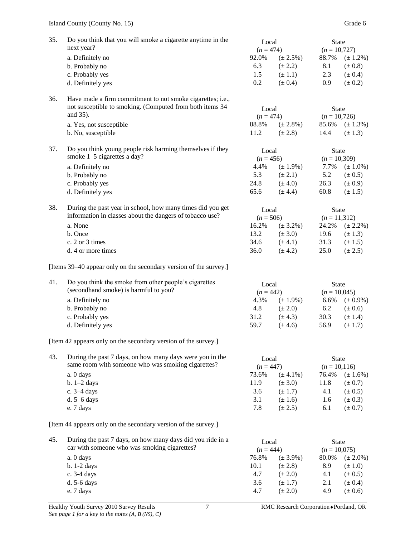| 35. | Do you think that you will smoke a cigarette anytime in the<br>next year?                      | Local<br>$(n = 474)$ |                            | <b>State</b><br>$(n = 10,727)$ |                            |
|-----|------------------------------------------------------------------------------------------------|----------------------|----------------------------|--------------------------------|----------------------------|
|     | a. Definitely no                                                                               | 92.0%                | $(\pm 2.5\%)$              | 88.7%                          | $(\pm 1.2\%)$              |
|     | b. Probably no                                                                                 | 6.3                  | $(\pm 2.2)$                | 8.1                            | $(\pm 0.8)$                |
|     | c. Probably yes                                                                                | 1.5                  | $(\pm 1.1)$                | 2.3                            | $(\pm 0.4)$                |
|     | d. Definitely yes                                                                              | 0.2                  | $(\pm 0.4)$                | 0.9                            | $(\pm 0.2)$                |
| 36. | Have made a firm commitment to not smoke cigarettes; i.e.,                                     |                      |                            |                                |                            |
|     | not susceptible to smoking. (Computed from both items 34<br>and 35).                           | Local                |                            | <b>State</b>                   |                            |
|     |                                                                                                | $(n = 474)$          |                            | $(n = 10,726)$                 |                            |
|     | a. Yes, not susceptible                                                                        | 88.8%                | $(\pm 2.8\%)$              | 85.6%                          | $(\pm 1.3\%)$              |
|     | b. No, susceptible                                                                             | 11.2                 | $(\pm 2.8)$                | 14.4                           | $(\pm 1.3)$                |
| 37. | Do you think young people risk harming themselves if they<br>smoke 1-5 cigarettes a day?       | Local<br>$(n = 456)$ |                            | <b>State</b><br>$(n = 10,309)$ |                            |
|     | a. Definitely no                                                                               | 4.4%                 | $(\pm 1.9\%)$              | 7.7%                           | $(\pm 1.0\%)$              |
|     | b. Probably no                                                                                 | 5.3                  | $(\pm 2.1)$                | 5.2                            | $(\pm 0.5)$                |
|     | c. Probably yes                                                                                | 24.8                 | $(\pm 4.0)$                | 26.3                           | $(\pm 0.9)$                |
|     | d. Definitely yes                                                                              | 65.6                 | $(\pm 4.4)$                | 60.8                           | $(\pm 1.5)$                |
| 38. | During the past year in school, how many times did you get                                     | Local                |                            | <b>State</b>                   |                            |
|     | information in classes about the dangers of tobacco use?                                       | $(n = 506)$          |                            | $(n = 11,312)$                 |                            |
|     | a. None                                                                                        | 16.2%                | $(\pm 3.2\%)$              | 24.2%                          | $(\pm 2.2\%)$              |
|     | b. Once                                                                                        | 13.2                 | $(\pm 3.0)$                | 19.6                           | $(\pm 1.3)$                |
|     | c. 2 or 3 times                                                                                | 34.6                 | $(\pm 4.1)$                | 31.3                           | $(\pm 1.5)$                |
|     | d. 4 or more times                                                                             | 36.0                 | $(\pm 4.2)$                | 25.0                           | $(\pm 2.5)$                |
|     | [Items 39–40 appear only on the secondary version of the survey.]                              |                      |                            |                                |                            |
| 41. | Do you think the smoke from other people's cigarettes<br>(secondhand smoke) is harmful to you? | Local                |                            | <b>State</b><br>$(n = 10,045)$ |                            |
|     | a. Definitely no                                                                               | $(n = 442)$<br>4.3%  | $(\pm 1.9\%)$              | 6.6%                           | $(\pm 0.9\%)$              |
|     | b. Probably no                                                                                 | 4.8                  | $(\pm 2.0)$                | 6.2                            | $(\pm 0.6)$                |
|     | c. Probably yes                                                                                | 31.2                 | $(\pm 4.3)$                | 30.3                           | $(\pm 1.4)$                |
|     | d. Definitely yes                                                                              | 59.7                 | $(\pm 4.6)$                | 56.9                           | $(\pm 1.7)$                |
|     |                                                                                                |                      |                            |                                |                            |
|     | [Item 42 appears only on the secondary version of the survey.]                                 |                      |                            |                                |                            |
| 43. | During the past 7 days, on how many days were you in the                                       | Local                |                            | State                          |                            |
|     | same room with someone who was smoking cigarettes?                                             | $(n = 447)$          |                            | $(n = 10, 116)$                |                            |
|     | a. 0 days                                                                                      | 73.6%                | $(\pm 4.1\%)$              | 76.4%                          | $(\pm 1.6\%)$              |
|     | $b. 1-2$ days                                                                                  | 11.9                 | $(\pm 3.0)$                | 11.8                           | $(\pm 0.7)$                |
|     | c. 3–4 days                                                                                    | 3.6                  | $(\pm 1.7)$                | 4.1                            | $(\pm 0.5)$                |
|     | d. 5-6 days                                                                                    | 3.1                  | $(\pm 1.6)$                | 1.6                            | $(\pm 0.3)$                |
|     | e. 7 days                                                                                      | 7.8                  | $(\pm 2.5)$                | 6.1                            | $(\pm 0.7)$                |
|     | [Item 44 appears only on the secondary version of the survey.]                                 |                      |                            |                                |                            |
| 45. | During the past 7 days, on how many days did you ride in a                                     |                      |                            |                                |                            |
|     | car with someone who was smoking cigarettes?                                                   | Local                |                            | <b>State</b>                   |                            |
|     |                                                                                                | $(n = 444)$          |                            | $(n = 10,075)$                 |                            |
|     | a. 0 days                                                                                      | 76.8%                | $(\pm 3.9\%)$              | 80.0%                          | $(\pm 2.0\%)$              |
|     | b. 1-2 days                                                                                    | 10.1<br>4.7          | $(\pm 2.8)$                | 8.9<br>4.1                     | $(\pm 1.0)$                |
|     | c. 3-4 days<br>$d. 5-6$ days                                                                   | 3.6                  | $(\pm 2.0)$<br>$(\pm 1.7)$ | 2.1                            | $(\pm 0.5)$<br>$(\pm 0.4)$ |
|     | e. 7 days                                                                                      | 4.7                  | $(\pm 2.0)$                | 4.9                            | $(\pm 0.6)$                |
|     |                                                                                                |                      |                            |                                |                            |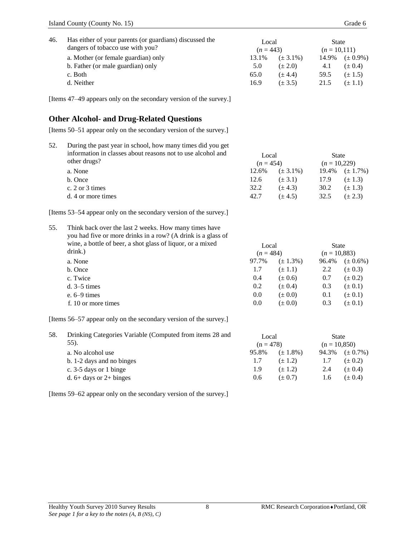| 46. | Has either of your parents (or guardians) discussed the<br>dangers of tobacco use with you?<br>a. Mother (or female guardian) only<br>b. Father (or male guardian) only<br>c. Both<br>d. Neither<br>[Items 47–49 appears only on the secondary version of the survey.] | Local<br>$(n = 443)$<br>13.1%<br>5.0<br>65.0<br>16.9  | $(\pm 3.1\%)$<br>$(\pm 2.0)$<br>$(\pm 4.4)$<br>$(\pm 3.5)$                         | <b>State</b><br>$(n = 10, 111)$<br>14.9%<br>4.1<br>59.5<br>21.5 | $(\pm 0.9\%)$<br>$(\pm 0.4)$<br>$(\pm 1.5)$<br>$(\pm 1.1)$                                   |
|-----|------------------------------------------------------------------------------------------------------------------------------------------------------------------------------------------------------------------------------------------------------------------------|-------------------------------------------------------|------------------------------------------------------------------------------------|-----------------------------------------------------------------|----------------------------------------------------------------------------------------------|
|     |                                                                                                                                                                                                                                                                        |                                                       |                                                                                    |                                                                 |                                                                                              |
|     | <b>Other Alcohol- and Drug-Related Questions</b>                                                                                                                                                                                                                       |                                                       |                                                                                    |                                                                 |                                                                                              |
|     | [Items 50–51 appear only on the secondary version of the survey.]                                                                                                                                                                                                      |                                                       |                                                                                    |                                                                 |                                                                                              |
| 52. | During the past year in school, how many times did you get<br>information in classes about reasons not to use alcohol and<br>other drugs?<br>a. None<br>b. Once<br>c. 2 or 3 times<br>d. 4 or more times                                                               | Local<br>$(n = 454)$<br>12.6%<br>12.6<br>32.2<br>42.7 | $(\pm 3.1\%)$<br>$(\pm 3.1)$<br>$(\pm 4.3)$<br>$(\pm 4.5)$                         | <b>State</b><br>$(n = 10,229)$<br>19.4%<br>17.9<br>30.2<br>32.5 | $(\pm 1.7\%)$<br>$(\pm 1.3)$<br>$(\pm 1.3)$<br>$(\pm 2.3)$                                   |
|     | [Items 53–54 appear only on the secondary version of the survey.]                                                                                                                                                                                                      |                                                       |                                                                                    |                                                                 |                                                                                              |
| 55. | Think back over the last 2 weeks. How many times have<br>you had five or more drinks in a row? (A drink is a glass of<br>wine, a bottle of beer, a shot glass of liquor, or a mixed<br>drink.)<br>a. None<br>b. Once<br>c. Twice<br>$d. 3-5$ times                     | 97.7%<br>1.7<br>0.4<br>0.2                            | Local<br>$(n = 484)$<br>$(\pm 1.3\%)$<br>$(\pm 1.1)$<br>$(\pm 0.6)$<br>$(\pm 0.4)$ |                                                                 | <b>State</b><br>$(n = 10,883)$<br>$(\pm 0.6\%)$<br>$(\pm 0.3)$<br>$(\pm 0.2)$<br>$(\pm 0.1)$ |
|     | $e. 6-9 \times$                                                                                                                                                                                                                                                        | 0.0                                                   | $(\pm 0.0)$                                                                        | 0.1                                                             | $(\pm 0.1)$                                                                                  |
|     | f. 10 or more times                                                                                                                                                                                                                                                    | 0.0                                                   | $(\pm 0.0)$                                                                        | 0.3                                                             | $(\pm 0.1)$                                                                                  |
|     | [Items 56–57 appear only on the secondary version of the survey.]                                                                                                                                                                                                      |                                                       |                                                                                    |                                                                 |                                                                                              |
| 58. | Drinking Categories Variable (Computed from items 28 and<br>55).<br>a. No alcohol use<br>b. 1-2 days and no binges<br>c. 3-5 days or 1 binge<br>d. $6+$ days or $2+$ binges                                                                                            | Local<br>$(n = 478)$<br>95.8%<br>1.7<br>1.9<br>0.6    | $(\pm 1.8\%)$<br>$(\pm 1.2)$<br>$(\pm 1.2)$<br>$(\pm 0.7)$                         | <b>State</b><br>$(n = 10,850)$<br>94.3%<br>1.7<br>2.4<br>1.6    | $(\pm 0.7\%)$<br>$(\pm 0.2)$<br>$(\pm 0.4)$<br>$(\pm 0.4)$                                   |

[Items 59–62 appear only on the secondary version of the survey.]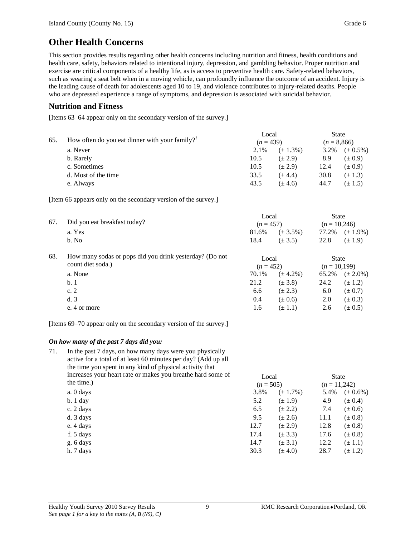## **Other Health Concerns**

This section provides results regarding other health concerns including nutrition and fitness, health conditions and health care, safety, behaviors related to intentional injury, depression, and gambling behavior. Proper nutrition and exercise are critical components of a healthy life, as is access to preventive health care. Safety-related behaviors, such as wearing a seat belt when in a moving vehicle, can profoundly influence the outcome of an accident. Injury is the leading cause of death for adolescents aged 10 to 19, and violence contributes to injury-related deaths. People who are depressed experience a range of symptoms, and depression is associated with suicidal behavior.

### **Nutrition and Fitness**

[Items 63–64 appear only on the secondary version of the survey.]

| 65. | How often do you eat dinner with your family? <sup><math>\mathsf{T}</math></sup> | Local |               | <b>State</b> |                       |
|-----|----------------------------------------------------------------------------------|-------|---------------|--------------|-----------------------|
|     |                                                                                  |       | $(n=439)$     |              | $(n = 8,866)$         |
|     | a. Never                                                                         | 2.1%  | $(\pm 1.3\%)$ |              | $3.2\%$ $(\pm 0.5\%)$ |
|     | b. Rarely                                                                        | 10.5  | $(\pm 2.9)$   | 8.9          | $(\pm 0.9)$           |
|     | c. Sometimes                                                                     | 10.5  | $(\pm 2.9)$   | 12.4         | $(\pm 0.9)$           |
|     | d. Most of the time                                                              | 33.5  | $(\pm 4.4)$   | 30.8         | $(\pm 1.3)$           |
|     | e. Always                                                                        | 43.5  | $(\pm 4.6)$   | 44.7         | $(\pm 1.5)$           |

[Item 66 appears only on the secondary version of the survey.]

| 67. | Did you eat breakfast today?                                                 | Local<br>$(n = 457)$ |               | <b>State</b><br>$(n = 10,246)$ |               |
|-----|------------------------------------------------------------------------------|----------------------|---------------|--------------------------------|---------------|
|     | a. Yes                                                                       | 81.6%                | $(\pm 3.5\%)$ | 77.2%                          | $(\pm 1.9\%)$ |
|     | b. No                                                                        | 18.4                 | $(\pm 3.5)$   | 22.8                           | $(\pm 1.9)$   |
| 68. | How many sodas or pops did you drink yesterday? (Do not<br>count diet soda.) | Local                |               | <b>State</b>                   |               |
|     |                                                                              | $(n = 452)$          |               | $(n = 10,199)$                 |               |
|     | a. None                                                                      | 70.1%                | $(\pm 4.2\%)$ | 65.2%                          | $(\pm 2.0\%)$ |
|     | b.1                                                                          | 21.2                 | $(\pm 3.8)$   | 24.2                           | $(\pm 1.2)$   |
|     | c.2                                                                          | 6.6                  | $(\pm 2.3)$   | 6.0                            | $(\pm 0.7)$   |
|     | d.3                                                                          | 0.4                  | $(\pm 0.6)$   | 2.0                            | $(\pm 0.3)$   |
|     | e. 4 or more                                                                 | 1.6                  | $(\pm 1.1)$   | 2.6                            | $(\pm 0.5)$   |

[Items 69–70 appear only on the secondary version of the survey.]

#### *On how many of the past 7 days did you:*

| 71. | In the past 7 days, on how many days were you physically<br>active for a total of at least 60 minutes per day? (Add up all<br>the time you spent in any kind of physical activity that |             |               |              |               |
|-----|----------------------------------------------------------------------------------------------------------------------------------------------------------------------------------------|-------------|---------------|--------------|---------------|
|     | increases your heart rate or makes you breathe hard some of                                                                                                                            | Local       |               | <b>State</b> |               |
|     | the time.)                                                                                                                                                                             | $(n = 505)$ |               | $(n=11,242)$ |               |
|     | a. 0 days                                                                                                                                                                              | 3.8%        | $(\pm 1.7\%)$ | 5.4%         | $(\pm 0.6\%)$ |
|     | $b.1$ day                                                                                                                                                                              | 5.2         | $(\pm 1.9)$   | 4.9          | $(\pm 0.4)$   |
|     | c. 2 days                                                                                                                                                                              | 6.5         | $(\pm 2.2)$   | 7.4          | $(\pm 0.6)$   |
|     | d. 3 days                                                                                                                                                                              | 9.5         | $(\pm 2.6)$   | 11.1         | $(\pm 0.8)$   |
|     | e. 4 days                                                                                                                                                                              | 12.7        | $(\pm 2.9)$   | 12.8         | $(\pm 0.8)$   |
|     | f. 5 days                                                                                                                                                                              | 17.4        | $(\pm 3.3)$   | 17.6         | $(\pm 0.8)$   |
|     | g. 6 days                                                                                                                                                                              | 14.7        | $(\pm 3.1)$   | 12.2         | $(\pm 1.1)$   |
|     | h. 7 days                                                                                                                                                                              | 30.3        | $(\pm 4.0)$   | 28.7         | $(\pm 1.2)$   |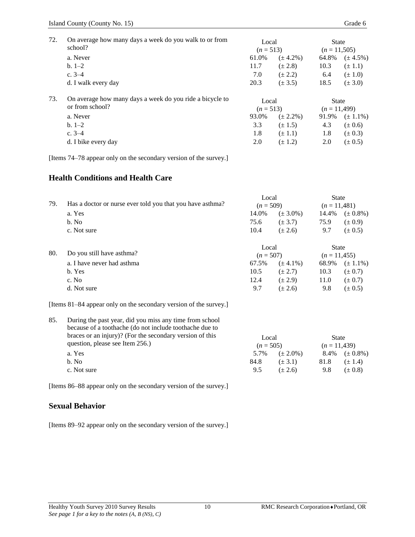| 72. | On average how many days a week do you walk to or from<br>school? | Local<br>$(n=513)$ |               | <b>State</b><br>$(n=11,505)$ |               |
|-----|-------------------------------------------------------------------|--------------------|---------------|------------------------------|---------------|
|     | a. Never                                                          | 61.0%              | $(\pm 4.2\%)$ | 64.8%                        | $(\pm 4.5\%)$ |
|     | $b. 1-2$                                                          | 11.7               | $(\pm 2.8)$   | 10.3                         | $(\pm 1.1)$   |
|     | c. $3-4$                                                          | 7.0                | $(\pm 2.2)$   | 6.4                          | $(\pm 1.0)$   |
|     | d. I walk every day                                               | 20.3               | $(\pm 3.5)$   | 18.5                         | $(\pm 3.0)$   |
| 73. | On average how many days a week do you ride a bicycle to          | Local              |               | <b>State</b>                 |               |
|     | or from school?                                                   | $(n=513)$          |               | $(n = 11,499)$               |               |
|     | a. Never                                                          | 93.0%              | $(\pm 2.2\%)$ | 91.9%                        | $(\pm 1.1\%)$ |
|     | $b. 1-2$                                                          | 3.3                | $(\pm 1.5)$   | 4.3                          | $(\pm 0.6)$   |
|     | c. $3-4$                                                          | 1.8                | $(\pm 1.1)$   | 1.8                          | $(\pm 0.3)$   |
|     | d. I bike every day                                               | 2.0                | $(\pm 1.2)$   | 2.0                          | $(\pm 0.5)$   |

[Items 74–78 appear only on the secondary version of the survey.]

### **Health Conditions and Health Care**

| 79. | Has a doctor or nurse ever told you that you have asthma? | Local<br>$(n = 509)$ |               | <b>State</b><br>$(n=11,481)$   |               |
|-----|-----------------------------------------------------------|----------------------|---------------|--------------------------------|---------------|
|     | a. Yes                                                    | 14.0%                | $(\pm 3.0\%)$ | 14.4%                          | $(\pm 0.8\%)$ |
|     | b. No                                                     | 75.6                 | $(\pm 3.7)$   | 75.9                           | $(\pm 0.9)$   |
|     | c. Not sure                                               | 10.4                 | $(\pm 2.6)$   | 9.7                            | $(\pm 0.5)$   |
| 80. | Do you still have asthma?                                 | Local<br>$(n = 507)$ |               | <b>State</b><br>$(n = 11,455)$ |               |
|     | a. I have never had asthma                                | 67.5%                | $(\pm 4.1\%)$ | 68.9%                          | $(\pm 1.1\%)$ |
|     | b. Yes                                                    | 10.5                 | $(\pm 2.7)$   | 10.3                           | $(\pm 0.7)$   |
|     | c. No                                                     | 12.4                 | $(\pm 2.9)$   | 11.0                           | $(\pm 0.7)$   |
|     | d. Not sure                                               | 9.7                  | $(\pm 2.6)$   | 9.8                            | $(\pm 0.5)$   |

[Items 81–84 appear only on the secondary version of the survey.]

| 85. | During the past year, did you miss any time from school  |             |               |              |               |
|-----|----------------------------------------------------------|-------------|---------------|--------------|---------------|
|     | because of a toothache (do not include toothache due to  |             |               |              |               |
|     | braces or an injury)? (For the secondary version of this | Local       |               | <b>State</b> |               |
|     | question, please see Item 256.)                          | $(n = 505)$ |               | $(n=11,439)$ |               |
|     | a. Yes                                                   | 5.7%        | $(\pm 2.0\%)$ | 8.4%         | $(\pm 0.8\%)$ |
|     | b. No                                                    | 84.8        | $(\pm 3.1)$   | 81.8         | $(\pm 1.4)$   |
|     | c. Not sure                                              | 9.5         | $(\pm 2.6)$   | 9.8          | $(\pm 0.8)$   |

[Items 86–88 appear only on the secondary version of the survey.]

### **Sexual Behavior**

[Items 89–92 appear only on the secondary version of the survey.]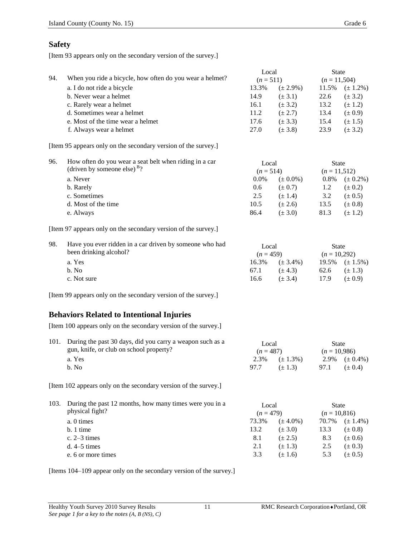### **Safety**

[Item 93 appears only on the secondary version of the survey.]

| 94. | When you ride a bicycle, how often do you wear a helmet? | Local<br>$(n=511)$ |               | <b>State</b><br>$(n = 11,504)$ |               |
|-----|----------------------------------------------------------|--------------------|---------------|--------------------------------|---------------|
|     | a. I do not ride a bicycle                               | 13.3%              | $(\pm 2.9\%)$ | 11.5%                          | $(\pm 1.2\%)$ |
|     | b. Never wear a helmet                                   | 14.9               | $(\pm 3.1)$   | 22.6                           | $(\pm 3.2)$   |
|     | c. Rarely wear a helmet                                  | 16.1               | $(\pm 3.2)$   | 13.2                           | $(\pm 1.2)$   |
|     | d. Sometimes wear a helmet                               | 11.2               | $(\pm 2.7)$   | 13.4                           | $(\pm 0.9)$   |
|     | e. Most of the time wear a helmet                        | 17.6               | $(\pm 3.3)$   | 15.4                           | $(\pm 1.5)$   |
|     | f. Always wear a helmet                                  | 27.0               | $(\pm 3.8)$   | 23.9                           | $(\pm 3.2)$   |

[Item 95 appears only on the secondary version of the survey.]

| 96. | How often do you wear a seat belt when riding in a car<br>(driven by someone else) $B_2$ ? | Local<br>$(n=514)$ |               |      |               | <b>State</b><br>$(n = 11, 512)$ |  |
|-----|--------------------------------------------------------------------------------------------|--------------------|---------------|------|---------------|---------------------------------|--|
|     | a. Never                                                                                   | $0.0\%$            | $(\pm 0.0\%)$ | 0.8% | $(\pm 0.2\%)$ |                                 |  |
|     | b. Rarely                                                                                  | 0.6                | $(\pm 0.7)$   | 1.2  | $(\pm 0.2)$   |                                 |  |
|     | c. Sometimes                                                                               | 2.5                | $(\pm 1.4)$   | 3.2  | $(\pm 0.5)$   |                                 |  |
|     | d. Most of the time                                                                        | 10.5               | $(\pm 2.6)$   | 13.5 | $(\pm 0.8)$   |                                 |  |
|     | e. Always                                                                                  | 86.4               | $(\pm 3.0)$   | 81.3 | $(\pm 1.2)$   |                                 |  |

[Item 97 appears only on the secondary version of the survey.]

| 98. | Have you ever ridden in a car driven by someone who had<br>been drinking alcohol? | Local<br>$(n=459)$ |               | State<br>$(n = 10,292)$ |                        |
|-----|-----------------------------------------------------------------------------------|--------------------|---------------|-------------------------|------------------------|
|     | a. Yes                                                                            | 16.3%              | $(\pm 3.4\%)$ |                         | $19.5\%$ $(\pm 1.5\%)$ |
|     | b. No                                                                             | 67.1               | $(\pm 4.3)$   | 62.6                    | $(\pm 1.3)$            |
|     | c. Not sure                                                                       | 16.6               | $(\pm 3.4)$   | 17.9                    | $(\pm 0.9)$            |

[Item 99 appears only on the secondary version of the survey.]

### **Behaviors Related to Intentional Injuries**

[Item 100 appears only on the secondary version of the survey.]

| 101. During the past 30 days, did you carry a weapon such as a | Local       |                                    | State          |                                 |
|----------------------------------------------------------------|-------------|------------------------------------|----------------|---------------------------------|
| gun, knife, or club on school property?                        | $(n = 487)$ |                                    | $(n = 10.986)$ |                                 |
| a. Yes<br>h. No                                                | 97.7        | 2.3\% $(\pm 1.3\%)$<br>$(\pm 1.3)$ | 97.1           | 2.9% $(\pm 0.4\%)$<br>$(+ 0.4)$ |

[Item 102 appears only on the secondary version of the survey.]

| 103. During the past 12 months, how many times were you in a<br>physical fight? | Local<br>$(n = 479)$ |               | State<br>$(n = 10,816)$ |               |
|---------------------------------------------------------------------------------|----------------------|---------------|-------------------------|---------------|
| a. 0 times                                                                      | 73.3%                | $(\pm 4.0\%)$ | 70.7%                   | $(\pm 1.4\%)$ |
| $b.1$ time                                                                      | 13.2                 | $(\pm 3.0)$   | 13.3                    | $(\pm 0.8)$   |
| c. $2-3$ times                                                                  | 8.1                  | $(\pm 2.5)$   | 8.3                     | $(\pm 0.6)$   |
| $d. 4-5 \tmtext{ times}$                                                        | 2.1                  | $(\pm 1.3)$   | 2.5                     | $(\pm 0.3)$   |
| e. 6 or more times                                                              | 3.3                  | $(\pm 1.6)$   | 5.3                     | $(\pm 0.5)$   |

[Items 104–109 appear only on the secondary version of the survey.]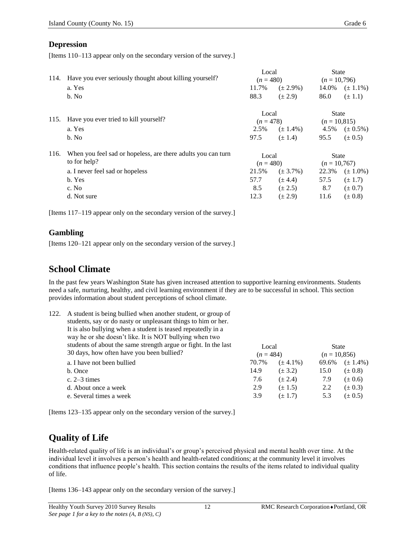### **Depression**

[Items 110–113 appear only on the secondary version of the survey.]

| 114. | Have you ever seriously thought about killing yourself?      | Local<br>$(n = 480)$ |               | <b>State</b><br>$(n = 10,796)$ |                |
|------|--------------------------------------------------------------|----------------------|---------------|--------------------------------|----------------|
|      | a. Yes                                                       | 11.7%                | $(\pm 2.9\%)$ | 14.0%                          | $(\pm 1.1\%)$  |
|      | b. No                                                        | 88.3                 | $(\pm 2.9)$   | 86.0                           | $(\pm 1.1)$    |
|      |                                                              | Local                |               | <b>State</b>                   |                |
|      | 115. Have you ever tried to kill yourself?                   | $(n = 478)$          |               | $(n = 10, 815)$                |                |
|      | a. Yes                                                       | 2.5%                 | $(\pm 1.4\%)$ | 4.5%                           | $(\pm 0.5\%)$  |
|      | b. No                                                        | 97.5                 | $(\pm 1.4)$   | 95.5                           | $(\pm 0.5)$    |
| 116. | When you feel sad or hopeless, are there adults you can turn | Local                |               | <b>State</b>                   |                |
|      | to for help?                                                 |                      | $(n = 480)$   |                                | $(n = 10,767)$ |
|      | a. I never feel sad or hopeless                              | 21.5%                | $(\pm 3.7\%)$ | 22.3%                          | $(\pm 1.0\%)$  |
|      | b. Yes                                                       | 57.7                 | $(\pm 4.4)$   | 57.5                           | $(\pm 1.7)$    |
|      | c. No                                                        | 8.5                  | $(\pm 2.5)$   | 8.7                            | $(\pm 0.7)$    |
|      | d. Not sure                                                  | 12.3                 | $(\pm 2.9)$   | 11.6                           | $(\pm 0.8)$    |

[Items 117–119 appear only on the secondary version of the survey.]

### **Gambling**

[Items 120–121 appear only on the secondary version of the survey.]

## **School Climate**

In the past few years Washington State has given increased attention to supportive learning environments. Students need a safe, nurturing, healthy, and civil learning environment if they are to be successful in school. This section provides information about student perceptions of school climate.

| 122. | A student is being bullied when another student, or group of    |             |               |                |               |
|------|-----------------------------------------------------------------|-------------|---------------|----------------|---------------|
|      | students, say or do nasty or unpleasant things to him or her.   |             |               |                |               |
|      | It is also bullying when a student is teased repeatedly in a    |             |               |                |               |
|      | way he or she doesn't like. It is NOT bullying when two         |             |               |                |               |
|      | students of about the same strength argue or fight. In the last | Local       |               | State          |               |
|      | 30 days, how often have you been bullied?                       | $(n = 484)$ |               | $(n = 10,856)$ |               |
|      | a. I have not been bullied                                      | 70.7%       | $(\pm 4.1\%)$ | 69.6%          | $(\pm 1.4\%)$ |
|      | b. Once                                                         | 14.9        | $(\pm 3.2)$   | 15.0           | $(\pm 0.8)$   |
|      | c. $2-3$ times                                                  | 7.6         | $(\pm 2.4)$   | 7.9            | $(\pm 0.6)$   |
|      | d. About once a week                                            | 2.9         | $(\pm 1.5)$   | 2.2            | $(\pm 0.3)$   |
|      | e. Several times a week                                         | 3.9         | $(\pm 1.7)$   | 5.3            | $(\pm 0.5)$   |
|      |                                                                 |             |               |                |               |

[Items 123–135 appear only on the secondary version of the survey.]

# **Quality of Life**

Health-related quality of life is an individual's or group's perceived physical and mental health over time. At the individual level it involves a person's health and health-related conditions; at the community level it involves conditions that influence people's health. This section contains the results of the items related to individual quality of life.

[Items 136–143 appear only on the secondary version of the survey.]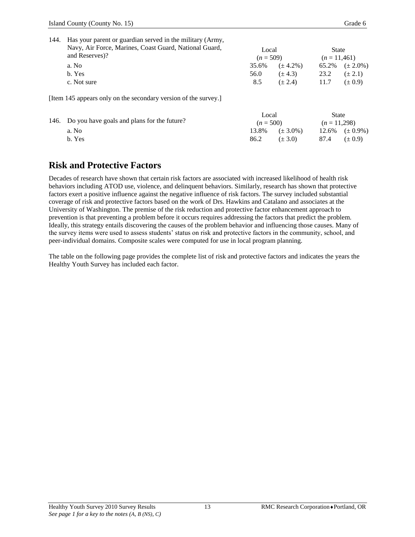| 144. | Has your parent or guardian served in the military (Army,       |       |               |       |               |  |
|------|-----------------------------------------------------------------|-------|---------------|-------|---------------|--|
|      | Navy, Air Force, Marines, Coast Guard, National Guard,          | Local |               | State |               |  |
|      | and Reserves)?                                                  |       | $(n = 509)$   |       | $(n=11,461)$  |  |
|      | a. No                                                           | 35.6% | $(\pm 4.2\%)$ | 65.2% | $(\pm 2.0\%)$ |  |
|      | b. Yes                                                          | 56.0  | $(\pm 4.3)$   | 23.2  | $(\pm 2.1)$   |  |
|      | c. Not sure                                                     | 8.5   | $(\pm 2.4)$   | 11.7  | $(\pm 0.9)$   |  |
|      | [Item 145 appears only on the secondary version of the survey.] |       |               |       |               |  |

|                                                  | Local       | State<br>$(n=11.298)$  |  |                        |
|--------------------------------------------------|-------------|------------------------|--|------------------------|
| 146. Do you have goals and plans for the future? | $(n = 500)$ |                        |  |                        |
| a. No                                            |             | $13.8\%$ $(\pm 3.0\%)$ |  | $12.6\%$ $(\pm 0.9\%)$ |
| b. Yes                                           | 86.2        | $(\pm 3.0)$            |  |                        |

## **Risk and Protective Factors**

Decades of research have shown that certain risk factors are associated with increased likelihood of health risk behaviors including ATOD use, violence, and delinquent behaviors. Similarly, research has shown that protective factors exert a positive influence against the negative influence of risk factors. The survey included substantial coverage of risk and protective factors based on the work of Drs. Hawkins and Catalano and associates at the University of Washington. The premise of the risk reduction and protective factor enhancement approach to prevention is that preventing a problem before it occurs requires addressing the factors that predict the problem. Ideally, this strategy entails discovering the causes of the problem behavior and influencing those causes. Many of the survey items were used to assess students' status on risk and protective factors in the community, school, and peer-individual domains. Composite scales were computed for use in local program planning.

The table on the following page provides the complete list of risk and protective factors and indicates the years the Healthy Youth Survey has included each factor.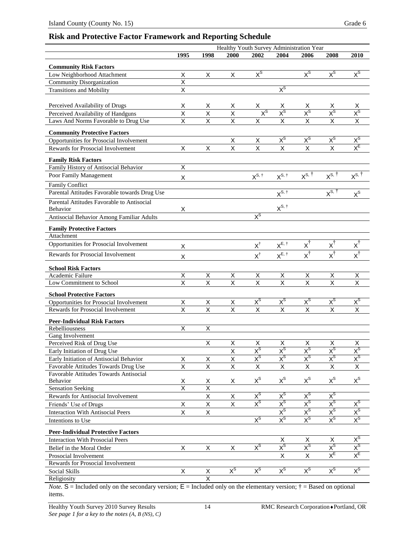### **Risk and Protective Factor Framework and Reporting Schedule**

|                                               | Healthy Youth Survey Administration Year |                              |                         |                         |                                    |                                  |                                     |                                    |
|-----------------------------------------------|------------------------------------------|------------------------------|-------------------------|-------------------------|------------------------------------|----------------------------------|-------------------------------------|------------------------------------|
|                                               | 1995                                     | 1998                         | 2000                    | 2002                    | 2004                               | 2006                             | 2008                                | 2010                               |
| <b>Community Risk Factors</b>                 |                                          |                              |                         |                         |                                    |                                  |                                     |                                    |
| Low Neighborhood Attachment                   | X                                        | X                            | X                       | $X^{\text{S}}$          |                                    | $X^{\text{S}}$                   | $X^{\mathcal{S}}$                   | $X^{\text{S}}$                     |
| Community Disorganization                     | $\overline{\mathsf{x}}$                  |                              |                         |                         |                                    |                                  |                                     |                                    |
| <b>Transitions and Mobility</b>               | X                                        |                              |                         |                         | $X^{\text{S}}$                     |                                  |                                     |                                    |
|                                               |                                          |                              |                         |                         |                                    |                                  |                                     |                                    |
| Perceived Availability of Drugs               | х                                        | х                            | х                       | X.                      | х                                  | х                                | х                                   | х                                  |
| Perceived Availability of Handguns            | X                                        | X                            | X                       | $X^{\mathcal{S}}$       | $\chi^{\text{S}}$                  | $\chi^{\text{S}}$                | $\chi^{\text{S}}$                   |                                    |
| Laws And Norms Favorable to Drug Use          | $\overline{\mathsf{x}}$                  | X                            | $\overline{\mathsf{x}}$ | $\overline{\mathsf{x}}$ | $\overline{\mathsf{x}}$            | $\overline{\mathsf{x}}$          | $\overline{\mathsf{x}}$             |                                    |
| <b>Community Protective Factors</b>           |                                          |                              |                         |                         |                                    |                                  |                                     |                                    |
| Opportunities for Prosocial Involvement       |                                          |                              | X                       | X                       | $x^s$                              | $x^s$                            | $X^{\mathsf{S}}$                    | $\mathsf{x}^{\mathsf{s}}$          |
| Rewards for Prosocial Involvement             | X                                        | $\mathsf X$                  | X                       | $\mathsf{x}$            | X                                  | X                                | $\pmb{\times}$                      | $X_{E}$                            |
|                                               |                                          |                              |                         |                         |                                    |                                  |                                     |                                    |
| <b>Family Risk Factors</b>                    |                                          |                              |                         |                         |                                    |                                  |                                     |                                    |
| Family History of Antisocial Behavior         | $\overline{\mathsf{x}}$                  |                              |                         |                         |                                    |                                  |                                     |                                    |
| Poor Family Management                        | X                                        |                              |                         | $X^{S, \dagger}$        | $X^{S, \dagger}$                   | $X^{S, \dagger}$                 | $X^{S, \dagger}$                    | $X^{S, \dagger}$                   |
| Family Conflict                               |                                          |                              |                         |                         |                                    |                                  |                                     |                                    |
| Parental Attitudes Favorable towards Drug Use |                                          |                              |                         |                         | $X^{S, \dagger}$                   |                                  | $X^{S, \dagger}$                    | $X^S$                              |
| Parental Attitudes Favorable to Antisocial    |                                          |                              |                         |                         |                                    |                                  |                                     |                                    |
| Behavior                                      | X                                        |                              |                         |                         | $X^{S, \dagger}$                   |                                  |                                     |                                    |
| Antisocial Behavior Among Familiar Adults     |                                          |                              |                         | $X^{\text{S}}$          |                                    |                                  |                                     |                                    |
| <b>Family Protective Factors</b>              |                                          |                              |                         |                         |                                    |                                  |                                     |                                    |
| Attachment                                    |                                          |                              |                         |                         |                                    |                                  |                                     |                                    |
| Opportunities for Prosocial Involvement       | Χ                                        |                              |                         | $X^\dagger$             | $X^{E, \dagger}$                   | $X^{\dagger}$                    | $x^{\dagger}$                       | $X^1$                              |
| Rewards for Prosocial Involvement             | Χ                                        |                              |                         | $\mathsf{X}^\dagger$    | $X^{E, \dagger}$                   | $\overline{x^{\dagger}}$         | $x^{\dagger}$                       | $x^{\dagger}$                      |
|                                               |                                          |                              |                         |                         |                                    |                                  |                                     |                                    |
| <b>School Risk Factors</b>                    |                                          |                              |                         |                         |                                    |                                  |                                     |                                    |
| Academic Failure                              | X                                        | Χ                            | Χ                       | X                       | X                                  | Χ                                | $\overline{X}$                      | $\overline{X}$                     |
| Low Commitment to School                      | $\overline{\mathsf{x}}$                  | $\overline{\mathsf{x}}$      | $\overline{\mathsf{x}}$ | $\overline{\mathsf{x}}$ | $\overline{\mathsf{x}}$            | $\overline{\mathsf{x}}$          | $\overline{\mathsf{x}}$             | $\overline{\mathsf{x}}$            |
| <b>School Protective Factors</b>              |                                          |                              |                         |                         |                                    |                                  |                                     |                                    |
| Opportunities for Prosocial Involvement       | Χ                                        | Χ                            | X                       | $x^s$                   | $x^s$                              | $x^s$                            | $x^s$                               | $x^s$                              |
| Rewards for Prosocial Involvement             | $\overline{\mathsf{x}}$                  | $\overline{\mathsf{x}}$      | X                       | $\times$                | $\overline{X}$                     | $\overline{\mathsf{x}}$          | $\overline{\mathsf{x}}$             | X                                  |
| <b>Peer-Individual Risk Factors</b>           |                                          |                              |                         |                         |                                    |                                  |                                     |                                    |
| Rebelliousness                                | Χ                                        | Χ                            |                         |                         |                                    |                                  |                                     |                                    |
| Gang Involvement                              |                                          |                              |                         |                         |                                    |                                  |                                     |                                    |
| Perceived Risk of Drug Use                    |                                          | Χ                            | X                       | Х                       | X                                  | Х                                | X                                   | Χ                                  |
| Early Initiation of Drug Use                  |                                          |                              | X                       | $X^{\mathcal{S}}$       | $X^{\mathsf{S}}$                   | $X^{\mathsf{S}}$                 | $X^{\mathcal{S}}$                   | $X^{\rm S}$                        |
| Early Initiation of Antisocial Behavior       | Χ                                        | X                            | $\overline{\mathsf{x}}$ | $X^{\text{S}}$          | $X^{\text{S}}$                     | $\mathsf{X}^{\textsf{S}}$        | $x^s$                               | $\mathsf{x}^{\mathsf{s}}$          |
| Favorable Attitudes Towards Drug Use          | $\overline{X}$                           | $\overline{\mathsf{x}}$      | X                       | X                       | $\mathsf X$                        | X                                | $\mathsf X$                         | X                                  |
| Favorable Attitudes Towards Antisocial        |                                          |                              |                         |                         |                                    |                                  |                                     |                                    |
| Behavior                                      | $\frac{x}{x}$                            | Χ<br>$\overline{\mathsf{x}}$ | X                       | $X^{\mathsf{S}}$        | $x^s$                              | $X^{\text{S}}$                   | $X^{\mathsf{S}}$                    | $X^S$                              |
| <b>Sensation Seeking</b>                      |                                          |                              |                         | $X^{\text{S}}$          | $x^s$                              |                                  | $x^s$                               |                                    |
| Rewards for Antisocial Involvement            |                                          | X                            | X                       | $X^{\mathsf{S}}$        | $X^{\mathsf{S}}$                   | $x^s$<br>$X^{\mathsf{S}}$        | $X^{\mathsf{S}}$                    | $x^s$                              |
| Friends' Use of Drugs                         | X                                        | Χ                            | X                       |                         |                                    |                                  |                                     |                                    |
| <b>Interaction With Antisocial Peers</b>      | X                                        | Χ                            |                         | $X^{\text{S}}$          | $X^{\mathsf{S}}$<br>$X^{\text{S}}$ | $X^{\text{S}}$<br>$X^{\text{S}}$ | $X^{\mathcal{S}}$<br>$X^{\text{S}}$ | $x^s$<br>$\mathsf{X}^{\textsf{S}}$ |
| Intentions to Use                             |                                          |                              |                         |                         |                                    |                                  |                                     |                                    |
| <b>Peer-Individual Protective Factors</b>     |                                          |                              |                         |                         |                                    |                                  |                                     |                                    |
| <b>Interaction With Prosocial Peers</b>       |                                          |                              |                         |                         | X                                  | X                                | Χ                                   | $X^{\text{S}}$                     |
| Belief in the Moral Order                     | X                                        | X                            | X                       | $X^{\text{S}}$          | $x^s$                              | $x^s$                            | $\overline{X}^{\overline{S}}$       | $x^s$                              |
| Prosocial Involvement                         |                                          |                              |                         |                         | X                                  | X                                | $X_{E}$                             | $X_{E}$                            |
| Rewards for Prosocial Involvement             |                                          |                              |                         |                         |                                    |                                  |                                     |                                    |
| Social Skills                                 | X                                        | X                            | $X^{\text{S}}$          | $X^{\text{S}}$          | $x^s$                              | $x^s$                            | $X^{\text{S}}$                      | $x^s$                              |
| Religiosity                                   |                                          | $\overline{\mathsf{x}}$      |                         |                         |                                    |                                  |                                     |                                    |

*Note.*  $S =$  Included only on the secondary version;  $E =$  Included only on the elementary version;  $\dot{\tau} =$  Based on optional items.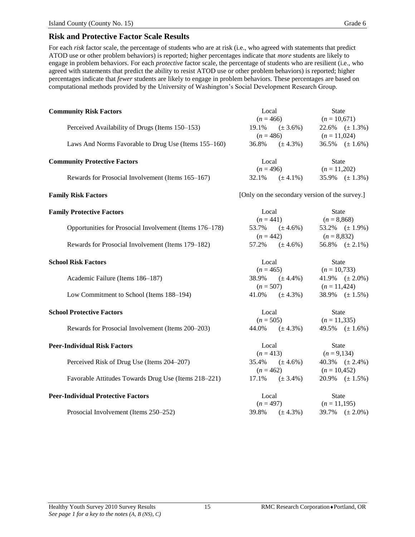For each *risk* factor scale, the percentage of students who are at risk (i.e., who agreed with statements that predict ATOD use or other problem behaviors) is reported; higher percentages indicate that *more* students are likely to engage in problem behaviors. For each *protective* factor scale, the percentage of students who are resilient (i.e., who agreed with statements that predict the ability to resist ATOD use or other problem behaviors) is reported; higher percentages indicate that *fewer* students are likely to engage in problem behaviors. These percentages are based on computational methods provided by the University of Washington's Social Development Research Group.

| <b>Community Risk Factors</b>                           | Local       |                                                                     |                 | <b>State</b>           |  |
|---------------------------------------------------------|-------------|---------------------------------------------------------------------|-----------------|------------------------|--|
|                                                         | $(n = 466)$ |                                                                     | $(n = 10,671)$  |                        |  |
| Perceived Availability of Drugs (Items 150-153)         |             | $19.1\%$ (± 3.6%)                                                   |                 | 22.6% $(\pm 1.3\%)$    |  |
|                                                         | $(n = 486)$ |                                                                     | $(n = 11,024)$  |                        |  |
| Laws And Norms Favorable to Drug Use (Items 155-160)    | 36.8%       | $(\pm 4.3\%)$                                                       |                 | 36.5% $(\pm 1.6\%)$    |  |
| <b>Community Protective Factors</b>                     | Local       |                                                                     | <b>State</b>    |                        |  |
|                                                         |             | $(n = 496)$                                                         | $(n = 11,202)$  |                        |  |
| Rewards for Prosocial Involvement (Items 165-167)       | 32.1%       | $(\pm 4.1\%)$                                                       |                 | 35.9% $(\pm 1.3\%)$    |  |
| <b>Family Risk Factors</b>                              |             | [Only on the secondary version of the survey.]                      |                 |                        |  |
| <b>Family Protective Factors</b>                        | Local       |                                                                     | <b>State</b>    |                        |  |
|                                                         |             |                                                                     |                 |                        |  |
| Opportunities for Prosocial Involvement (Items 176–178) |             | $(n = 441)$<br>$(n = 8,868)$<br>53.7% $(\pm 4.6\%)$ 53.2% $(\pm 1)$ |                 | 53.2% $(\pm 1.9\%)$    |  |
|                                                         |             | $(n = 442)$                                                         | $(n = 8,832)$   |                        |  |
| Rewards for Prosocial Involvement (Items 179–182)       |             | $57.2\%$ $(\pm 4.6\%)$                                              |                 | 56.8% $(\pm 2.1\%)$    |  |
| <b>School Risk Factors</b>                              | Local       |                                                                     | <b>State</b>    |                        |  |
|                                                         | $(n = 465)$ |                                                                     | $(n = 10, 733)$ |                        |  |
| Academic Failure (Items 186-187)                        | 38.9%       | $(\pm 4.4\%)$                                                       |                 | 41.9% $(\pm 2.0\%)$    |  |
|                                                         |             | $(n = 507)$                                                         | $(n = 11,424)$  |                        |  |
| Low Commitment to School (Items 188-194)                | 41.0%       | $(\pm 4.3\%)$                                                       |                 | 38.9% $(\pm 1.5\%)$    |  |
| <b>School Protective Factors</b>                        | Local       |                                                                     | <b>State</b>    |                        |  |
|                                                         | $(n = 505)$ |                                                                     | $(n = 11,335)$  |                        |  |
| Rewards for Prosocial Involvement (Items 200–203)       | 44.0%       | $(\pm 4.3\%)$                                                       |                 | 49.5% $(\pm 1.6\%)$    |  |
| <b>Peer-Individual Risk Factors</b>                     | Local       |                                                                     | <b>State</b>    |                        |  |
|                                                         | $(n = 413)$ |                                                                     | $(n = 9,134)$   |                        |  |
| Perceived Risk of Drug Use (Items 204–207)              | 35.4%       | $(\pm 4.6\%)$                                                       |                 | $40.3\%$ $(\pm 2.4\%)$ |  |
|                                                         | $(n = 462)$ |                                                                     | $(n = 10,452)$  |                        |  |
| Favorable Attitudes Towards Drug Use (Items 218-221)    | 17.1%       | $(\pm 3.4\%)$                                                       |                 | 20.9% $(\pm 1.5\%)$    |  |
| <b>Peer-Individual Protective Factors</b>               | Local       |                                                                     | <b>State</b>    |                        |  |
|                                                         | $(n = 497)$ |                                                                     | $(n = 11,195)$  |                        |  |
| Prosocial Involvement (Items 250-252)                   | 39.8%       | $(\pm 4.3\%)$                                                       |                 | 39.7% $(\pm 2.0\%)$    |  |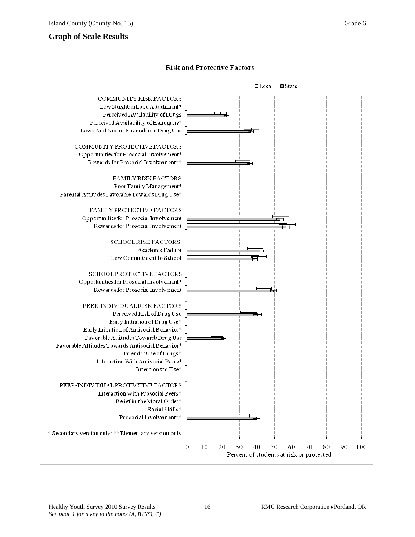### **Graph of Scale Results**

### **Risk and Protective Factors**

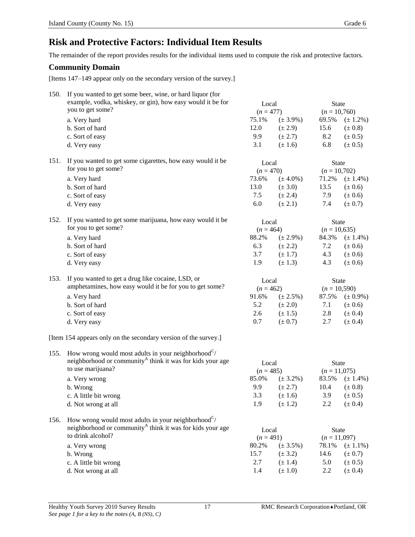## **Risk and Protective Factors: Individual Item Results**

The remainder of the report provides results for the individual items used to compute the risk and protective factors.

### **Community Domain**

[Items 147–149 appear only on the secondary version of the survey.]

| 150. | If you wanted to get some beer, wine, or hard liquor (for<br>example, vodka, whiskey, or gin), how easy would it be for        | Local       |               | State          |               |
|------|--------------------------------------------------------------------------------------------------------------------------------|-------------|---------------|----------------|---------------|
|      | you to get some?                                                                                                               | $(n = 477)$ |               | $(n = 10,760)$ |               |
|      | a. Very hard                                                                                                                   | 75.1%       | $(\pm 3.9\%)$ | 69.5%          | $(\pm 1.2\%)$ |
|      | b. Sort of hard                                                                                                                | 12.0        | $(\pm 2.9)$   | 15.6           | $(\pm 0.8)$   |
|      | c. Sort of easy                                                                                                                | 9.9         | $(\pm 2.7)$   | 8.2            | $(\pm 0.5)$   |
|      | d. Very easy                                                                                                                   | 3.1         | $(\pm 1.6)$   | 6.8            | $(\pm 0.5)$   |
|      |                                                                                                                                |             |               |                |               |
| 151. | If you wanted to get some cigarettes, how easy would it be                                                                     | Local       |               | <b>State</b>   |               |
|      | for you to get some?                                                                                                           | $(n = 470)$ |               | $(n = 10,702)$ |               |
|      | a. Very hard                                                                                                                   | 73.6%       | $(\pm 4.0\%)$ | 71.2%          | $(\pm 1.4\%)$ |
|      | b. Sort of hard                                                                                                                | 13.0        | $(\pm 3.0)$   | 13.5           | $(\pm 0.6)$   |
|      | c. Sort of easy                                                                                                                | 7.5         | $(\pm 2.4)$   | 7.9            | $(\pm 0.6)$   |
|      | d. Very easy                                                                                                                   | 6.0         | $(\pm 2.1)$   | 7.4            | $(\pm 0.7)$   |
|      |                                                                                                                                |             |               |                |               |
| 152. | If you wanted to get some marijuana, how easy would it be                                                                      | Local       |               | <b>State</b>   |               |
|      | for you to get some?                                                                                                           | $(n = 464)$ |               | $(n = 10,635)$ |               |
|      | a. Very hard                                                                                                                   | 88.2%       | $(\pm 2.9\%)$ | 84.3%          | $(\pm 1.4\%)$ |
|      | b. Sort of hard                                                                                                                | 6.3         | $(\pm 2.2)$   | 7.2            | $(\pm 0.6)$   |
|      | c. Sort of easy                                                                                                                | 3.7         | $(\pm 1.7)$   | 4.3            | $(\pm 0.6)$   |
|      | d. Very easy                                                                                                                   | 1.9         | $(\pm 1.3)$   | 4.3            | $(\pm 0.6)$   |
|      |                                                                                                                                |             |               |                |               |
| 153. | If you wanted to get a drug like cocaine, LSD, or                                                                              | Local       |               | <b>State</b>   |               |
|      | amphetamines, how easy would it be for you to get some?                                                                        | $(n = 462)$ |               | $(n = 10,590)$ |               |
|      | a. Very hard                                                                                                                   | 91.6%       | $(\pm 2.5\%)$ | 87.5%          | $(\pm 0.9\%)$ |
|      | b. Sort of hard                                                                                                                | 5.2         | $(\pm 2.0)$   | 7.1            | $(\pm 0.6)$   |
|      | c. Sort of easy                                                                                                                | 2.6         | $(\pm 1.5)$   | 2.8            | $(\pm 0.4)$   |
|      | d. Very easy                                                                                                                   | 0.7         | $(\pm 0.7)$   | 2.7            | $(\pm 0.4)$   |
|      | [Item 154 appears only on the secondary version of the survey.]                                                                |             |               |                |               |
|      |                                                                                                                                |             |               |                |               |
| 155. | How wrong would most adults in your neighborhood $C/$<br>neighborhood or community <sup>A</sup> think it was for kids your age |             |               |                |               |
|      | to use marijuana?                                                                                                              | Local       |               | State          |               |
|      |                                                                                                                                | $(n = 485)$ |               | $(n = 11,075)$ |               |
|      | a. Very wrong                                                                                                                  | 85.0%       | $(\pm 3.2\%)$ | 83.5%          | $(\pm 1.4\%)$ |
|      | b. Wrong                                                                                                                       | 9.9         | $(\pm 2.7)$   | 10.4           | $(\pm 0.8)$   |
|      | c. A little bit wrong                                                                                                          | 3.3         | $(\pm 1.6)$   | 3.9            | $(\pm 0.5)$   |
|      | d. Not wrong at all                                                                                                            | 1.9         | $(\pm 1.2)$   | 2.2            | $(\pm 0.4)$   |
| 156. | How wrong would most adults in your neighborhood <sup><math>C/</math></sup>                                                    |             |               |                |               |
|      | neighborhood or community <sup>A</sup> think it was for kids your age                                                          | Local       |               | State          |               |
|      | to drink alcohol?                                                                                                              | $(n = 491)$ |               | $(n = 11,097)$ |               |
|      | a. Very wrong                                                                                                                  | 80.2%       | $(\pm 3.5\%)$ | 78.1%          | $(\pm 1.1\%)$ |
|      | b. Wrong                                                                                                                       | 15.7        | $(\pm 3.2)$   | 14.6           | $(\pm 0.7)$   |
|      | c. A little bit wrong                                                                                                          | 2.7         | $(\pm 1.4)$   | 5.0            | $(\pm 0.5)$   |
|      |                                                                                                                                | 1.4         | $(\pm 1.0)$   | 2.2            | $(\pm 0.4)$   |
|      | d. Not wrong at all                                                                                                            |             |               |                |               |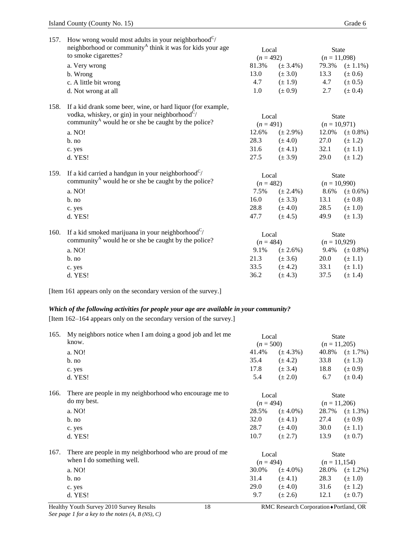| 157. | How wrong would most adults in your neighborhood $C/$                        |             |               |                |                     |  |
|------|------------------------------------------------------------------------------|-------------|---------------|----------------|---------------------|--|
|      | neighborhood or community <sup>A</sup> think it was for kids your age        |             | Local         | <b>State</b>   |                     |  |
|      | to smoke cigarettes?                                                         | $(n = 492)$ |               | $(n = 11,098)$ |                     |  |
|      | a. Very wrong                                                                | 81.3%       | $(\pm 3.4\%)$ | 79.3%          | $(\pm 1.1\%)$       |  |
|      | b. Wrong                                                                     | 13.0        | $(\pm 3.0)$   | 13.3           | $(\pm 0.6)$         |  |
|      | c. A little bit wrong                                                        | 4.7         | $(\pm 1.9)$   | 4.7            | $(\pm 0.5)$         |  |
|      | d. Not wrong at all                                                          | 1.0         | $(\pm 0.9)$   | 2.7            | $(\pm 0.4)$         |  |
| 158. | If a kid drank some beer, wine, or hard liquor (for example,                 |             |               |                |                     |  |
|      | vodka, whiskey, or gin) in your neighborhood <sup><math>C/</math></sup>      | Local       |               | <b>State</b>   |                     |  |
|      | community <sup>A</sup> would he or she be caught by the police?              | $(n = 491)$ |               | $(n = 10,971)$ |                     |  |
|      | a. NO!                                                                       | 12.6%       | $(\pm 2.9\%)$ |                | 12.0% $(\pm 0.8\%)$ |  |
|      | b. no                                                                        | 28.3        | $(\pm 4.0)$   | 27.0           | $(\pm 1.2)$         |  |
|      | c. yes                                                                       | 31.6        | $(\pm 4.1)$   | 32.1           | $(\pm 1.1)$         |  |
|      | d. YES!                                                                      | 27.5        | $(\pm 3.9)$   | 29.0           | $(\pm 1.2)$         |  |
| 159. | If a kid carried a handgun in your neighborhood <sup>C</sup> /               | Local       |               | <b>State</b>   |                     |  |
|      | community <sup><math>A</math></sup> would he or she be caught by the police? | $(n = 482)$ |               | $(n = 10,990)$ |                     |  |
|      | a. NO!                                                                       | 7.5%        | $(\pm 2.4\%)$ | 8.6%           | $(\pm 0.6\%)$       |  |
|      | b. no                                                                        | 16.0        | $(\pm 3.3)$   | 13.1           | $(\pm 0.8)$         |  |
|      | c. yes                                                                       | 28.8        | $(\pm 4.0)$   | 28.5           | $(\pm 1.0)$         |  |
|      | d. YES!                                                                      | 47.7        | $(\pm 4.5)$   | 49.9           | $(\pm 1.3)$         |  |
| 160. | If a kid smoked marijuana in your neighborhood <sup><math>C/</math></sup>    | Local       |               | <b>State</b>   |                     |  |
|      | community <sup>A</sup> would he or she be caught by the police?              | $(n = 484)$ |               | $(n = 10,929)$ |                     |  |
|      | a. NO!                                                                       | 9.1%        | $(\pm 2.6\%)$ | 9.4%           | $(\pm 0.8\%)$       |  |
|      | $b$ . no                                                                     | 21.3        | $(\pm 3.6)$   | 20.0           | $(\pm 1.1)$         |  |
|      | c. yes                                                                       | 33.5        | $(\pm 4.2)$   | 33.1           | $(\pm 1.1)$         |  |
|      | d. YES!                                                                      | 36.2        | $(\pm 4.3)$   | 37.5           | $(\pm 1.4)$         |  |

[Item 161 appears only on the secondary version of the survey.]

#### *Which of the following activities for people your age are available in your community?*

[Item 162–164 appears only on the secondary version of the survey.]

| 165. | My neighbors notice when I am doing a good job and let me<br>know. | Local<br>$(n = 500)$ |               | <b>State</b><br>$(n = 11,205)$ |               |
|------|--------------------------------------------------------------------|----------------------|---------------|--------------------------------|---------------|
|      | a. NO!                                                             | 41.4%                | $(\pm 4.3\%)$ | 40.8%                          | $(\pm 1.7\%)$ |
|      | $b$ . no                                                           | 35.4                 | $(\pm 4.2)$   | 33.8                           | $(\pm 1.3)$   |
|      | c. yes                                                             | 17.8                 | $(\pm 3.4)$   | 18.8                           | $(\pm 0.9)$   |
|      | d. YES!                                                            | 5.4                  | $(\pm 2.0)$   | 6.7                            | $(\pm 0.4)$   |
| 166. | There are people in my neighborhood who encourage me to            | Local                |               | <b>State</b>                   |               |
|      | do my best.                                                        | $(n = 494)$          |               | $(n=11,206)$                   |               |
|      | a. NO!                                                             | 28.5%                | $(\pm 4.0\%)$ | 28.7%                          | $(\pm 1.3\%)$ |
|      | $b$ . no                                                           | 32.0                 | $(\pm 4.1)$   | 27.4                           | $(\pm 0.9)$   |
|      | c. yes                                                             | 28.7                 | $(\pm 4.0)$   | 30.0                           | $(\pm 1.1)$   |
|      | d. YES!                                                            | 10.7                 | $(\pm 2.7)$   | 13.9                           | $(\pm 0.7)$   |
| 167. | There are people in my neighborhood who are proud of me            | Local                |               | <b>State</b>                   |               |
|      | when I do something well.                                          | $(n = 494)$          |               | $(n=11,154)$                   |               |
|      | a. NO!                                                             | 30.0%                | $(\pm 4.0\%)$ | 28.0%                          | $(\pm 1.2\%)$ |
|      | $b$ . no                                                           | 31.4                 | $(\pm 4.1)$   | 28.3                           | $(\pm 1.0)$   |
|      | c. yes                                                             | 29.0                 | $(\pm 4.0)$   | 31.6                           | $(\pm 1.2)$   |
|      | d. YES!                                                            | 9.7                  | $(\pm 2.6)$   | 12.1                           | $(\pm 0.7)$   |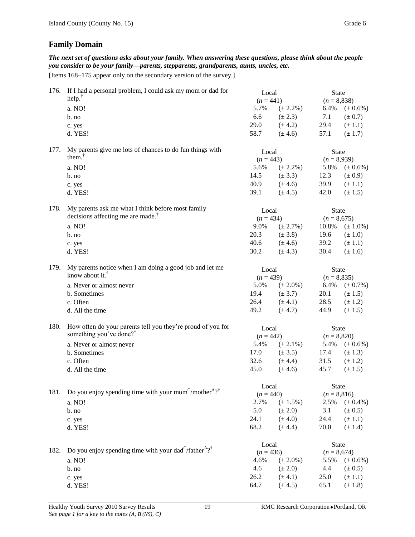### **Family Domain**

*The next set of questions asks about your family. When answering these questions, please think about the people you consider to be your family—parents, stepparents, grandparents, aunts, uncles, etc.*

[Items 168–175 appear only on the secondary version of the survey.]

| 176. | If I had a personal problem, I could ask my mom or dad for<br>help. $†$                        | Local<br>$(n = 441)$ |                              | <b>State</b><br>$(n = 8,838)$ |                            |
|------|------------------------------------------------------------------------------------------------|----------------------|------------------------------|-------------------------------|----------------------------|
|      | a. NO!                                                                                         | 5.7%                 |                              | 6.4%                          |                            |
|      |                                                                                                | 6.6                  | $(\pm 2.2\%)$<br>$(\pm 2.3)$ | 7.1                           | $(\pm 0.6\%)$              |
|      | $b$ . no                                                                                       | 29.0                 | $(\pm 4.2)$                  | 29.4                          | $(\pm 0.7)$                |
|      | c. yes<br>d. YES!                                                                              | 58.7                 | $(\pm 4.6)$                  | 57.1                          | $(\pm 1.1)$<br>$(\pm 1.7)$ |
|      |                                                                                                |                      |                              |                               |                            |
| 177. | My parents give me lots of chances to do fun things with                                       | Local                |                              | <b>State</b>                  |                            |
|      | them. $†$                                                                                      | $(n = 443)$          |                              | $(n = 8,939)$                 |                            |
|      | a. NO!                                                                                         | 5.6%                 | $(\pm 2.2\%)$                | 5.8%                          | $(\pm 0.6\%)$              |
|      | b. no                                                                                          | 14.5                 | $(\pm 3.3)$                  | 12.3                          | $(\pm 0.9)$                |
|      | c. yes                                                                                         | 40.9                 | $(\pm 4.6)$                  | 39.9                          | $(\pm 1.1)$                |
|      | d. YES!                                                                                        | 39.1                 | $(\pm 4.5)$                  | 42.0                          | $(\pm 1.5)$                |
| 178. | My parents ask me what I think before most family                                              | Local                |                              | <b>State</b>                  |                            |
|      | decisions affecting me are made. <sup>†</sup>                                                  | $(n = 434)$          |                              | $(n = 8,675)$                 |                            |
|      | a. NO!                                                                                         | 9.0%                 | $(\pm 2.7\%)$                | 10.8%                         | $(\pm 1.0\%)$              |
|      | $b$ . no                                                                                       | 20.3                 | $(\pm 3.8)$                  | 19.6                          | $(\pm 1.0)$                |
|      | c. yes                                                                                         | 40.6                 | $(\pm 4.6)$                  | 39.2                          | $(\pm 1.1)$                |
|      | d. YES!                                                                                        | 30.2                 | $(\pm 4.3)$                  | 30.4                          | $(\pm 1.6)$                |
| 179. | My parents notice when I am doing a good job and let me                                        | Local                |                              | <b>State</b>                  |                            |
|      | know about it. <sup>†</sup>                                                                    | $(n = 439)$          |                              | $(n = 8,835)$                 |                            |
|      | a. Never or almost never                                                                       | 5.0%                 | $(\pm 2.0\%)$                | 6.4%                          | $(\pm 0.7\%)$              |
|      | b. Sometimes                                                                                   | 19.4                 | $(\pm 3.7)$                  | 20.1                          | $(\pm 1.5)$                |
|      | c. Often                                                                                       | 26.4                 | $(\pm 4.1)$                  | 28.5                          | $(\pm 1.2)$                |
|      | d. All the time                                                                                | 49.2                 | $(\pm 4.7)$                  | 44.9                          | $(\pm 1.5)$                |
| 180. | How often do your parents tell you they're proud of you for                                    | Local                |                              | <b>State</b>                  |                            |
|      | something you've done? <sup>†</sup>                                                            | $(n = 442)$          |                              | $(n = 8,820)$                 |                            |
|      | a. Never or almost never                                                                       | 5.4%                 | $(\pm 2.1\%)$                | 5.4%                          | $(\pm 0.6\%)$              |
|      | b. Sometimes                                                                                   | 17.0                 | $(\pm 3.5)$                  | 17.4                          | $(\pm 1.3)$                |
|      | c. Often                                                                                       | 32.6                 | $(\pm 4.4)$                  | 31.5                          | $(\pm 1.2)$                |
|      | d. All the time                                                                                | 45.0                 | $(\pm 4.6)$                  | 45.7                          | $(\pm 1.5)$                |
|      |                                                                                                | Local                |                              | <b>State</b>                  |                            |
|      | 181. Do you enjoy spending time with your mom <sup>C</sup> /mother <sup>A</sup> ? <sup>†</sup> | $(n = 440)$          |                              | $(n = 8,816)$                 |                            |
|      | a. NO!                                                                                         | 2.7%                 | $(\pm 1.5\%)$                | 2.5%                          | $(\pm 0.4\%)$              |
|      | b. no                                                                                          | 5.0                  | $(\pm 2.0)$                  | 3.1                           | $(\pm 0.5)$                |
|      | c. yes                                                                                         | 24.1                 | $(\pm 4.0)$                  | 24.4                          | $(\pm 1.1)$                |
|      | d. YES!                                                                                        | 68.2                 | $(\pm 4.4)$                  | 70.0                          | $(\pm 1.4)$                |
|      |                                                                                                | Local                |                              | <b>State</b>                  |                            |
| 182. | Do you enjoy spending time with your dad <sup>C</sup> /father <sup>A</sup> ? <sup>†</sup>      | $(n = 436)$          |                              | $(n = 8,674)$                 |                            |
|      | a. NO!                                                                                         | 4.6%                 | $(\pm 2.0\%)$                | 5.5%                          | $(\pm 0.6\%)$              |
|      | b. no                                                                                          | 4.6                  | $(\pm 2.0)$                  | 4.4                           | $(\pm 0.5)$                |
|      | c. yes                                                                                         | 26.2                 | $(\pm 4.1)$                  | 25.0                          | $(\pm 1.1)$                |
|      | d. YES!                                                                                        | 64.7                 | $(\pm 4.5)$                  | 65.1                          | $(\pm 1.8)$                |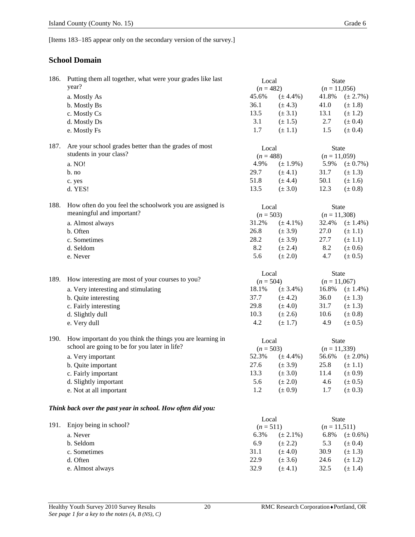[Items 183–185 appear only on the secondary version of the survey.]

### **School Domain**

| 186. | Putting them all together, what were your grades like last  | Local       |               | <b>State</b>   |                 |  |
|------|-------------------------------------------------------------|-------------|---------------|----------------|-----------------|--|
|      | year?                                                       | $(n = 482)$ |               | $(n = 11,056)$ |                 |  |
|      | a. Mostly As                                                | 45.6%       | $(\pm 4.4\%)$ | 41.8%          | $(\pm 2.7\%)$   |  |
|      | b. Mostly Bs                                                | 36.1        | $(\pm 4.3)$   | 41.0           | $(\pm 1.8)$     |  |
|      | c. Mostly Cs                                                | 13.5        | $(\pm 3.1)$   | 13.1           | $(\pm 1.2)$     |  |
|      | d. Mostly Ds                                                | 3.1         | $(\pm 1.5)$   | 2.7            | $(\pm 0.4)$     |  |
|      | e. Mostly Fs                                                | 1.7         | $(\pm 1.1)$   | 1.5            | $(\pm 0.4)$     |  |
| 187. | Are your school grades better than the grades of most       | Local       |               | <b>State</b>   |                 |  |
|      | students in your class?                                     |             | $(n = 488)$   |                | $(n = 11,059)$  |  |
|      | a. NO!                                                      | 4.9%        | $(\pm 1.9\%)$ | 5.9%           | $(\pm 0.7\%)$   |  |
|      | $b$ . no                                                    | 29.7        | $(\pm 4.1)$   | 31.7           | $(\pm 1.3)$     |  |
|      | c. yes                                                      | 51.8        | $(\pm 4.4)$   | 50.1           | $(\pm 1.6)$     |  |
|      | d. YES!                                                     | 13.5        | $(\pm 3.0)$   | 12.3           | $(\pm 0.8)$     |  |
| 188. | How often do you feel the schoolwork you are assigned is    | Local       |               | <b>State</b>   |                 |  |
|      | meaningful and important?                                   | $(n = 503)$ |               | $(n = 11,308)$ |                 |  |
|      | a. Almost always                                            | 31.2%       | $(\pm 4.1\%)$ | 32.4%          | $(\pm 1.4\%)$   |  |
|      | b. Often                                                    | 26.8        | $(\pm 3.9)$   | 27.0           | $(\pm 1.1)$     |  |
|      | c. Sometimes                                                | 28.2        | $(\pm 3.9)$   | 27.7           | $(\pm 1.1)$     |  |
|      | d. Seldom                                                   | 8.2         | $(\pm 2.4)$   | 8.2            | $(\pm 0.6)$     |  |
|      | e. Never                                                    | 5.6         | $(\pm 2.0)$   | 4.7            | $(\pm 0.5)$     |  |
|      |                                                             | Local       |               | <b>State</b>   |                 |  |
| 189. | How interesting are most of your courses to you?            | $(n = 504)$ |               | $(n = 11,067)$ |                 |  |
|      | a. Very interesting and stimulating                         | 18.1%       | $(\pm 3.4\%)$ | 16.8%          | $(\pm 1.4\%)$   |  |
|      | b. Quite interesting                                        | 37.7        | $(\pm 4.2)$   | 36.0           | $(\pm 1.3)$     |  |
|      | c. Fairly interesting                                       | 29.8        | $(\pm 4.0)$   | 31.7           | $(\pm 1.3)$     |  |
|      | d. Slightly dull                                            | 10.3        | $(\pm 2.6)$   | 10.6           | $(\pm 0.8)$     |  |
|      | e. Very dull                                                | 4.2         | $(\pm 1.7)$   | 4.9            | $(\pm 0.5)$     |  |
| 190. | How important do you think the things you are learning in   | Local       |               | <b>State</b>   |                 |  |
|      | school are going to be for you later in life?               | $(n = 503)$ |               | $(n = 11,339)$ |                 |  |
|      | a. Very important                                           | 52.3%       | $(\pm 4.4\%)$ | 56.6%          | $(\pm 2.0\%)$   |  |
|      | b. Quite important                                          | 27.6        | $(\pm 3.9)$   | 25.8           | $(\pm 1.1)$     |  |
|      | c. Fairly important                                         | 13.3        | $(\pm 3.0)$   | 11.4           | $(\pm 0.9)$     |  |
|      | d. Slightly important                                       | 5.6         | $(\pm 2.0)$   | 4.6            | $(\pm 0.5)$     |  |
|      | e. Not at all important                                     | 1.2         | $(\pm 0.9)$   | 1.7            | $(\pm 0.3)$     |  |
|      | Think back over the past year in school. How often did you: |             |               |                |                 |  |
|      |                                                             | Local       |               | <b>State</b>   |                 |  |
| 191. | Enjoy being in school?                                      | $(n = 511)$ |               |                | $(n = 11, 511)$ |  |
|      | a. Never                                                    | 6.3%        | $(\pm 2.1\%)$ | 6.8%           | $(\pm 0.6\%)$   |  |
|      | b. Seldom                                                   | 6.9         | $(\pm 2.2)$   | 5.3            | $(\pm 0.4)$     |  |
|      | c. Sometimes                                                | 31.1        | $(\pm 4.0)$   | 30.9           | $(\pm 1.3)$     |  |
|      | d. Often                                                    | 22.9        | $(\pm 3.6)$   | 24.6           | $(\pm 1.2)$     |  |
|      | e. Almost always                                            | 32.9        | $(\pm 4.1)$   | 32.5           | $(\pm 1.4)$     |  |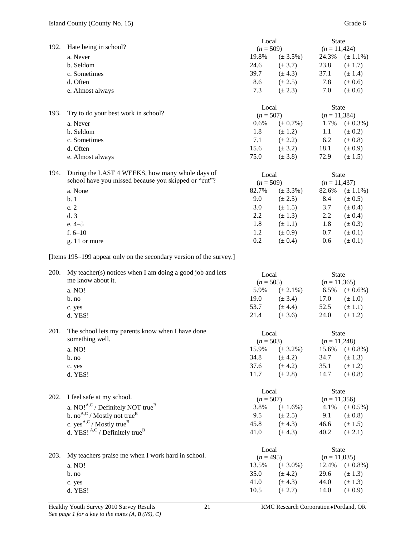|      |                                                                     | Local                |               | <b>State</b>            |               |
|------|---------------------------------------------------------------------|----------------------|---------------|-------------------------|---------------|
| 192. | Hate being in school?                                               | $(n = 509)$          |               | $(n = 11,424)$          |               |
|      | a. Never                                                            | 19.8%                | $(\pm 3.5\%)$ | 24.3%                   | $(\pm 1.1\%)$ |
|      | b. Seldom                                                           | 24.6                 | $(\pm 3.7)$   | 23.8                    | $(\pm 1.7)$   |
|      | c. Sometimes                                                        | 39.7                 | $(\pm 4.3)$   | 37.1                    | $(\pm 1.4)$   |
|      | d. Often                                                            | 8.6                  | $(\pm 2.5)$   | 7.8                     | $(\pm 0.6)$   |
|      | e. Almost always                                                    | 7.3                  | $(\pm 2.3)$   | 7.0                     | $(\pm 0.6)$   |
|      |                                                                     | Local                |               | State                   |               |
| 193. | Try to do your best work in school?                                 | $(n = 507)$          |               | $(n = 11,384)$          |               |
|      | a. Never                                                            | 0.6%                 | $(\pm 0.7\%)$ | 1.7%                    | $(\pm 0.3\%)$ |
|      | b. Seldom                                                           | 1.8                  | $(\pm 1.2)$   | 1.1                     | $(\pm 0.2)$   |
|      | c. Sometimes                                                        | 7.1                  | $(\pm 2.2)$   | 6.2                     | $(\pm 0.8)$   |
|      | d. Often                                                            | 15.6                 | $(\pm 3.2)$   | 18.1                    | $(\pm 0.9)$   |
|      | e. Almost always                                                    | 75.0                 | $(\pm 3.8)$   | 72.9                    | $(\pm 1.5)$   |
| 194. | During the LAST 4 WEEKS, how many whole days of                     |                      |               |                         |               |
|      | school have you missed because you skipped or "cut"?                | Local<br>$(n = 509)$ |               | State<br>$(n = 11,437)$ |               |
|      | a. None                                                             | 82.7%                | $(\pm 3.3\%)$ | 82.6%                   | $(\pm 1.1\%)$ |
|      | b.1                                                                 | 9.0                  | $(\pm 2.5)$   | 8.4                     | $(\pm 0.5)$   |
|      | c.2                                                                 | 3.0                  | $(\pm 1.5)$   | 3.7                     | $(\pm 0.4)$   |
|      | d.3                                                                 | 2.2                  | $(\pm 1.3)$   | 2.2                     | $(\pm 0.4)$   |
|      | e. 4–5                                                              | 1.8                  | $(\pm 1.1)$   | 1.8                     | $(\pm 0.3)$   |
|      | f. $6-10$                                                           | 1.2                  | $(\pm 0.9)$   | 0.7                     | $(\pm 0.1)$   |
|      | g. 11 or more                                                       | 0.2                  | $(\pm 0.4)$   | 0.6                     | $(\pm 0.1)$   |
|      |                                                                     |                      |               |                         |               |
|      | [Items 195–199 appear only on the secondary version of the survey.] |                      |               |                         |               |
| 200. | My teacher(s) notices when I am doing a good job and lets           | Local                |               | State                   |               |
|      | me know about it.                                                   | $(n = 505)$          |               | $(n = 11,365)$          |               |
|      | a. NO!                                                              | 5.9%                 | $(\pm 2.1\%)$ | 6.5%                    | $(\pm 0.6\%)$ |
|      | $b$ . no                                                            | 19.0                 | $(\pm 3.4)$   | 17.0                    | $(\pm 1.0)$   |
|      | c. yes                                                              | 53.7                 | $(\pm 4.4)$   | 52.5                    | $(\pm 1.1)$   |
|      | d. YES!                                                             | 21.4                 | $(\pm 3.6)$   | 24.0                    | $(\pm 1.2)$   |
| 201. | The school lets my parents know when I have done                    | Local                |               | <b>State</b>            |               |
|      | something well.                                                     | $(n = 503)$          |               | $(n = 11,248)$          |               |
|      | a. NO!                                                              | 15.9%                | $(\pm 3.2\%)$ | 15.6%                   | $(\pm 0.8\%)$ |
|      | b. no                                                               | 34.8                 | $(\pm 4.2)$   | 34.7                    | $(\pm 1.3)$   |
|      | c. yes                                                              | 37.6                 | $(\pm 4.2)$   | 35.1                    | $(\pm 1.2)$   |
|      | d. YES!                                                             | 11.7                 | $(\pm 2.8)$   | 14.7                    | $(\pm 0.8)$   |
|      |                                                                     | Local                |               | State                   |               |
| 202. | I feel safe at my school.                                           | $(n = 507)$          |               | $(n = 11,356)$          |               |
|      | a. NO! $^{A,C}$ / Definitely NOT true <sup>B</sup>                  | 3.8%                 | $(\pm 1.6\%)$ | 4.1%                    | $(\pm 0.5\%)$ |
|      | b. no <sup>A,C</sup> / Mostly not true <sup>B</sup>                 | 9.5                  | $(\pm 2.5)$   | 9.1                     | $(\pm 0.8)$   |
|      | c. $yes^{A,C}$ / Mostly true <sup>B</sup>                           | 45.8                 | $(\pm 4.3)$   | 46.6                    | $(\pm 1.5)$   |
|      | d. YES! $A,C$ / Definitely true <sup>B</sup>                        | 41.0                 | $(\pm 4.3)$   | 40.2                    | $(\pm 2.1)$   |
|      |                                                                     | Local                |               | State                   |               |
| 203. | My teachers praise me when I work hard in school.                   | $(n = 495)$          |               | $(n = 11,035)$          |               |
|      | a. NO!                                                              | 13.5%                | $(\pm 3.0\%)$ | 12.4%                   | $(\pm 0.8\%)$ |
|      | b. no                                                               | 35.0                 | $(\pm 4.2)$   | 29.6                    | $(\pm 1.3)$   |
|      | c. yes                                                              | 41.0                 | $(\pm 4.3)$   | 44.0                    | $(\pm 1.3)$   |
|      | d. YES!                                                             | 10.5                 | $(\pm 2.7)$   | 14.0                    | $(\pm 0.9)$   |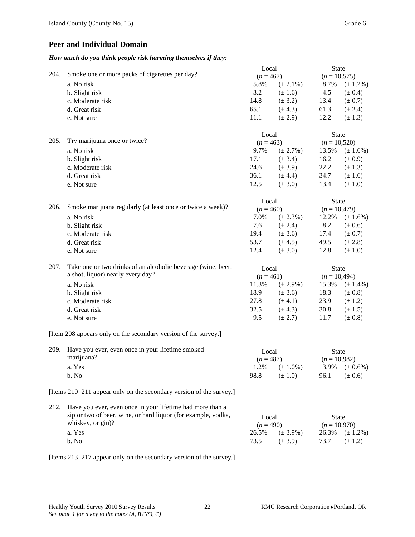### **Peer and Individual Domain**

#### *How much do you think people risk harming themselves if they:*

|      |                                                                     | Local       |               | <b>State</b>                   |               |
|------|---------------------------------------------------------------------|-------------|---------------|--------------------------------|---------------|
| 204. | Smoke one or more packs of cigarettes per day?                      | $(n = 467)$ |               | $(n = 10, 575)$                |               |
|      | a. No risk                                                          | 5.8%        | $(\pm 2.1\%)$ | 8.7%                           | $(\pm 1.2\%)$ |
|      | b. Slight risk                                                      | 3.2         | $(\pm 1.6)$   | 4.5                            | $(\pm 0.4)$   |
|      | c. Moderate risk                                                    | 14.8        | $(\pm 3.2)$   | 13.4                           | $(\pm 0.7)$   |
|      | d. Great risk                                                       | 65.1        | $(\pm 4.3)$   | 61.3                           | $(\pm 2.4)$   |
|      | e. Not sure                                                         | 11.1        | $(\pm 2.9)$   | 12.2                           | $(\pm 1.3)$   |
|      |                                                                     |             |               |                                |               |
|      |                                                                     | Local       |               | <b>State</b>                   |               |
| 205. | Try marijuana once or twice?                                        | $(n = 463)$ |               | $(n = 10,520)$                 |               |
|      | a. No risk                                                          | 9.7%        | $(\pm 2.7\%)$ | 13.5%                          | $(\pm 1.6\%)$ |
|      | b. Slight risk                                                      | 17.1        | $(\pm 3.4)$   | 16.2                           | $(\pm 0.9)$   |
|      | c. Moderate risk                                                    | 24.6        | $(\pm 3.9)$   | 22.2                           | $(\pm 1.3)$   |
|      | d. Great risk                                                       | 36.1        | $(\pm 4.4)$   | 34.7                           | $(\pm 1.6)$   |
|      | e. Not sure                                                         | 12.5        | $(\pm 3.0)$   | 13.4                           | $(\pm 1.0)$   |
|      |                                                                     |             |               |                                |               |
|      |                                                                     | Local       |               | <b>State</b>                   |               |
| 206. | Smoke marijuana regularly (at least once or twice a week)?          | $(n = 460)$ |               | $(n = 10,479)$                 |               |
|      | a. No risk                                                          | 7.0%        | $(\pm 2.3\%)$ | 12.2%                          | $(\pm 1.6\%)$ |
|      | b. Slight risk                                                      | 7.6         | $(\pm 2.4)$   | 8.2                            | $(\pm 0.6)$   |
|      | c. Moderate risk                                                    | 19.4        | $(\pm 3.6)$   | 17.4                           | $(\pm 0.7)$   |
|      |                                                                     | 53.7        |               |                                |               |
|      | d. Great risk                                                       |             | $(\pm 4.5)$   | 49.5                           | $(\pm 2.8)$   |
|      | e. Not sure                                                         | 12.4        | $(\pm 3.0)$   | 12.8                           | $(\pm 1.0)$   |
| 207. | Take one or two drinks of an alcoholic beverage (wine, beer,        | Local       |               |                                |               |
|      | a shot, liquor) nearly every day?                                   | $(n = 461)$ |               | <b>State</b><br>$(n = 10,494)$ |               |
|      | a. No risk                                                          | 11.3%       | $(\pm 2.9\%)$ | 15.3%                          |               |
|      |                                                                     | 18.9        |               |                                | $(\pm 1.4\%)$ |
|      | b. Slight risk                                                      |             | $(\pm 3.6)$   | 18.3                           | $(\pm 0.8)$   |
|      | c. Moderate risk                                                    | 27.8        | $(\pm 4.1)$   | 23.9                           | $(\pm 1.2)$   |
|      | d. Great risk                                                       | 32.5        | $(\pm 4.3)$   | 30.8                           | $(\pm 1.5)$   |
|      | e. Not sure                                                         | 9.5         | $(\pm 2.7)$   | 11.7                           | $(\pm 0.8)$   |
|      | [Item 208 appears only on the secondary version of the survey.]     |             |               |                                |               |
|      |                                                                     |             |               |                                |               |
| 209. | Have you ever, even once in your lifetime smoked                    | Local       |               | <b>State</b>                   |               |
|      | marijuana?                                                          | $(n = 487)$ |               | $(n = 10,982)$                 |               |
|      | a. Yes                                                              | 1.2%        | $(\pm 1.0\%)$ | 3.9%                           | $(\pm 0.6\%)$ |
|      | b. No                                                               | 98.8        | $(\pm 1.0)$   | 96.1                           | $(\pm 0.6)$   |
|      |                                                                     |             |               |                                |               |
|      | [Items 210–211 appear only on the secondary version of the survey.] |             |               |                                |               |
| 212. | Have you ever, even once in your lifetime had more than a           |             |               |                                |               |
|      | sip or two of beer, wine, or hard liquor (for example, vodka,       |             |               | <b>State</b>                   |               |
|      | whiskey, or gin)?                                                   | Local       |               |                                |               |
|      |                                                                     | $(n = 490)$ |               | $(n = 10,970)$                 |               |
|      | a. Yes                                                              | 26.5%       | $(\pm 3.9\%)$ | 26.3%                          | $(\pm 1.2\%)$ |
|      | b. No                                                               | 73.5        | $(\pm 3.9)$   | 73.7                           | $(\pm 1.2)$   |

[Items 213–217 appear only on the secondary version of the survey.]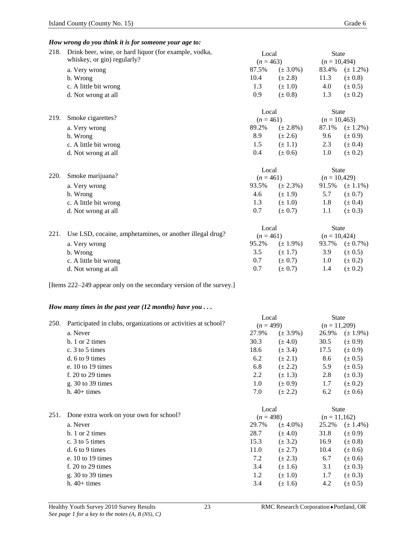#### *How wrong do you think it is for someone your age to:*

| 218. | Drink beer, wine, or hard liquor (for example, vodka,    | Local       |               | <b>State</b>   |                |  |
|------|----------------------------------------------------------|-------------|---------------|----------------|----------------|--|
|      | whiskey, or gin) regularly?                              | $(n = 463)$ |               | $(n = 10,494)$ |                |  |
|      | a. Very wrong                                            | 87.5%       | $(\pm 3.0\%)$ | 83.4%          | $(\pm 1.2\%)$  |  |
|      | b. Wrong                                                 | 10.4        | $(\pm 2.8)$   | 11.3           | $(\pm 0.8)$    |  |
|      | c. A little bit wrong                                    | 1.3         | $(\pm 1.0)$   | 4.0            | $(\pm 0.5)$    |  |
|      | d. Not wrong at all                                      | 0.9         | $(\pm 0.8)$   | 1.3            | $(\pm 0.2)$    |  |
|      |                                                          | Local       |               | <b>State</b>   |                |  |
| 219. | Smoke cigarettes?                                        | $(n = 461)$ |               | $(n = 10,463)$ |                |  |
|      | a. Very wrong                                            | 89.2%       | $(\pm 2.8\%)$ | 87.1%          | $(\pm 1.2\%)$  |  |
|      | b. Wrong                                                 | 8.9         | $(\pm 2.6)$   | 9.6            | $(\pm 0.9)$    |  |
|      | c. A little bit wrong                                    | 1.5         | $(\pm 1.1)$   | 2.3            | $(\pm 0.4)$    |  |
|      | d. Not wrong at all                                      | 0.4         | $(\pm 0.6)$   | 1.0            | $(\pm 0.2)$    |  |
|      |                                                          | Local       |               | <b>State</b>   |                |  |
| 220. | Smoke marijuana?                                         | $(n = 461)$ |               |                | $(n = 10,429)$ |  |
|      | a. Very wrong                                            | 93.5%       | $(\pm 2.3\%)$ | 91.5%          | $(\pm 1.1\%)$  |  |
|      | b. Wrong                                                 | 4.6         | $(\pm 1.9)$   | 5.7            | $(\pm 0.7)$    |  |
|      | c. A little bit wrong                                    | 1.3         | $(\pm 1.0)$   | 1.8            | $(\pm 0.4)$    |  |
|      | d. Not wrong at all                                      | 0.7         | $(\pm 0.7)$   | 1.1            | $(\pm 0.3)$    |  |
|      |                                                          | Local       |               | <b>State</b>   |                |  |
| 221. | Use LSD, cocaine, amphetamines, or another illegal drug? | $(n = 461)$ |               | $(n = 10,424)$ |                |  |
|      | a. Very wrong                                            | 95.2%       | $(\pm 1.9\%)$ | 93.7%          | $(\pm 0.7\%)$  |  |
|      | b. Wrong                                                 | 3.5         | $(\pm 1.7)$   | 3.9            | $(\pm 0.5)$    |  |
|      | c. A little bit wrong                                    | 0.7         | $(\pm 0.7)$   | 1.0            | $(\pm 0.2)$    |  |
|      | d. Not wrong at all                                      | 0.7         | $(\pm 0.7)$   | 1.4            | $(\pm 0.2)$    |  |

[Items 222–249 appear only on the secondary version of the survey.]

#### *How many times in the past year (12 months) have you . . .*

| 250. | Participated in clubs, organizations or activities at school? | Local<br>$(n = 499)$ |               | <b>State</b><br>$(n = 11,209)$ |               |
|------|---------------------------------------------------------------|----------------------|---------------|--------------------------------|---------------|
|      | a. Never                                                      | 27.9%                | $(\pm 3.9\%)$ | 26.9%                          | $(\pm 1.9\%)$ |
|      | $b. 1$ or 2 times                                             | 30.3                 | $(\pm 4.0)$   | 30.5                           | $(\pm 0.9)$   |
|      | c. $3$ to $5$ times                                           | 18.6                 | $(\pm 3.4)$   | 17.5                           | $(\pm 0.9)$   |
|      | $d. 6$ to 9 times                                             | 6.2                  | $(\pm 2.1)$   | 8.6                            | $(\pm 0.5)$   |
|      | e. $10$ to $19$ times                                         | 6.8                  | $(\pm 2.2)$   | 5.9                            | $(\pm 0.5)$   |
|      | f. $20$ to $29$ times                                         | 2.2                  | $(\pm 1.3)$   | 2.8                            | $(\pm 0.3)$   |
|      | g. 30 to 39 times                                             | 1.0                  | $(\pm 0.9)$   | 1.7                            | $(\pm 0.2)$   |
|      | $h. 40+ times$                                                | 7.0                  | $(\pm 2.2)$   | 6.2                            | $(\pm 0.6)$   |
|      |                                                               | Local                |               | <b>State</b>                   |               |
| 251. | Done extra work on your own for school?                       | $(n=498)$            |               | $(n=11,162)$                   |               |
|      | a. Never                                                      | 29.7%                | $(\pm 4.0\%)$ | 25.2%                          | $(\pm 1.4\%)$ |
|      | $b. 1$ or 2 times                                             | 28.7                 | $(\pm 4.0)$   | 31.8                           | $(\pm 0.9)$   |
|      | c. 3 to 5 times                                               | 15.3                 | $(\pm 3.2)$   | 16.9                           | $(\pm 0.8)$   |
|      | $d. 6$ to 9 times                                             | 11.0                 | $(\pm 2.7)$   | 10.4                           | $(\pm 0.6)$   |
|      | e. $10$ to $19$ times                                         | 7.2                  | $(\pm 2.3)$   | 6.7                            | $(\pm 0.6)$   |
|      | f. $20$ to $29$ times                                         | 3.4                  | $(\pm 1.6)$   | 3.1                            | $(\pm 0.3)$   |
|      | g. $30$ to $39$ times                                         | 1.2                  | $(\pm 1.0)$   | 1.7                            | $(\pm 0.3)$   |
|      | $h.40+ times$                                                 | 3.4                  | $(\pm 1.6)$   | 4.2                            | $(\pm 0.5)$   |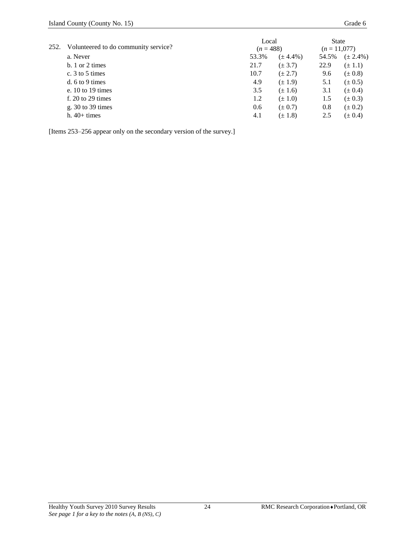|      | Volunteered to do community service? | Local |               | <b>State</b> |               |
|------|--------------------------------------|-------|---------------|--------------|---------------|
| 252. |                                      |       | $(n=488)$     |              | $(n=11,077)$  |
|      | a. Never                             | 53.3% | $(\pm 4.4\%)$ | 54.5%        | $(\pm 2.4\%)$ |
|      | $h. 1$ or 2 times                    | 21.7  | $(\pm 3.7)$   | 22.9         | $(\pm 1.1)$   |
|      | c. $3$ to $5$ times                  | 10.7  | $(\pm 2.7)$   | 9.6          | $(\pm 0.8)$   |
|      | d. $6$ to 9 times                    | 4.9   | $(\pm 1.9)$   | 5.1          | $(\pm 0.5)$   |
|      | e. $10 \text{ to } 19 \text{ times}$ | 3.5   | $(\pm 1.6)$   | 3.1          | $(\pm 0.4)$   |
|      | f. $20$ to $29$ times                | 1.2   | $(\pm 1.0)$   | 1.5          | $(\pm 0.3)$   |
|      | g. $30$ to $39$ times                | 0.6   | $(\pm 0.7)$   | 0.8          | $(\pm 0.2)$   |
|      | $h.40+ \text{times}$                 | 4.1   | $(\pm 1.8)$   | 2.5          | $(\pm 0.4)$   |

[Items 253–256 appear only on the secondary version of the survey.]